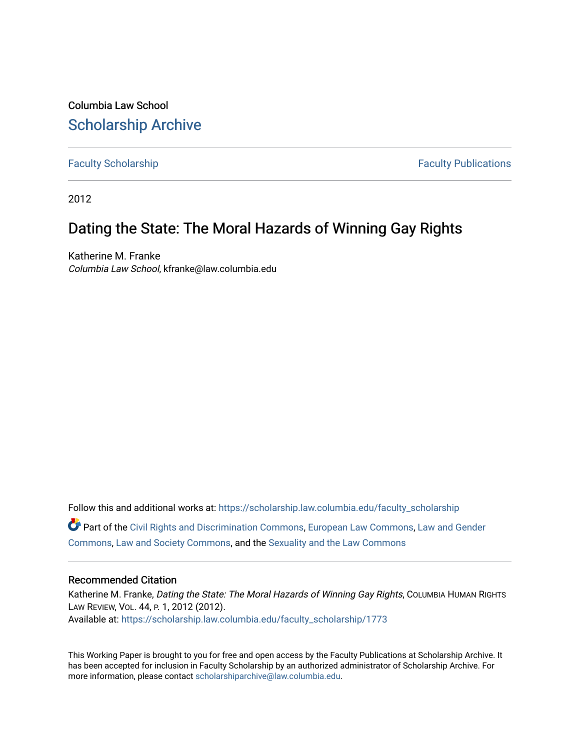Columbia Law School [Scholarship Archive](https://scholarship.law.columbia.edu/) 

[Faculty Scholarship](https://scholarship.law.columbia.edu/faculty_scholarship) **Faculty Scholarship Faculty Publications** 

2012

## Dating the State: The Moral Hazards of Winning Gay Rights

Katherine M. Franke Columbia Law School, kfranke@law.columbia.edu

Follow this and additional works at: [https://scholarship.law.columbia.edu/faculty\\_scholarship](https://scholarship.law.columbia.edu/faculty_scholarship?utm_source=scholarship.law.columbia.edu%2Ffaculty_scholarship%2F1773&utm_medium=PDF&utm_campaign=PDFCoverPages) Part of the [Civil Rights and Discrimination Commons,](http://network.bepress.com/hgg/discipline/585?utm_source=scholarship.law.columbia.edu%2Ffaculty_scholarship%2F1773&utm_medium=PDF&utm_campaign=PDFCoverPages) [European Law Commons,](http://network.bepress.com/hgg/discipline/1084?utm_source=scholarship.law.columbia.edu%2Ffaculty_scholarship%2F1773&utm_medium=PDF&utm_campaign=PDFCoverPages) [Law and Gender](http://network.bepress.com/hgg/discipline/1298?utm_source=scholarship.law.columbia.edu%2Ffaculty_scholarship%2F1773&utm_medium=PDF&utm_campaign=PDFCoverPages)  [Commons](http://network.bepress.com/hgg/discipline/1298?utm_source=scholarship.law.columbia.edu%2Ffaculty_scholarship%2F1773&utm_medium=PDF&utm_campaign=PDFCoverPages), [Law and Society Commons,](http://network.bepress.com/hgg/discipline/853?utm_source=scholarship.law.columbia.edu%2Ffaculty_scholarship%2F1773&utm_medium=PDF&utm_campaign=PDFCoverPages) and the [Sexuality and the Law Commons](http://network.bepress.com/hgg/discipline/877?utm_source=scholarship.law.columbia.edu%2Ffaculty_scholarship%2F1773&utm_medium=PDF&utm_campaign=PDFCoverPages) 

### Recommended Citation

Katherine M. Franke, Dating the State: The Moral Hazards of Winning Gay Rights, COLUMBIA HUMAN RIGHTS LAW REVIEW, VOL. 44, P. 1, 2012 (2012). Available at: [https://scholarship.law.columbia.edu/faculty\\_scholarship/1773](https://scholarship.law.columbia.edu/faculty_scholarship/1773?utm_source=scholarship.law.columbia.edu%2Ffaculty_scholarship%2F1773&utm_medium=PDF&utm_campaign=PDFCoverPages)

This Working Paper is brought to you for free and open access by the Faculty Publications at Scholarship Archive. It has been accepted for inclusion in Faculty Scholarship by an authorized administrator of Scholarship Archive. For more information, please contact [scholarshiparchive@law.columbia.edu.](mailto:scholarshiparchive@law.columbia.edu)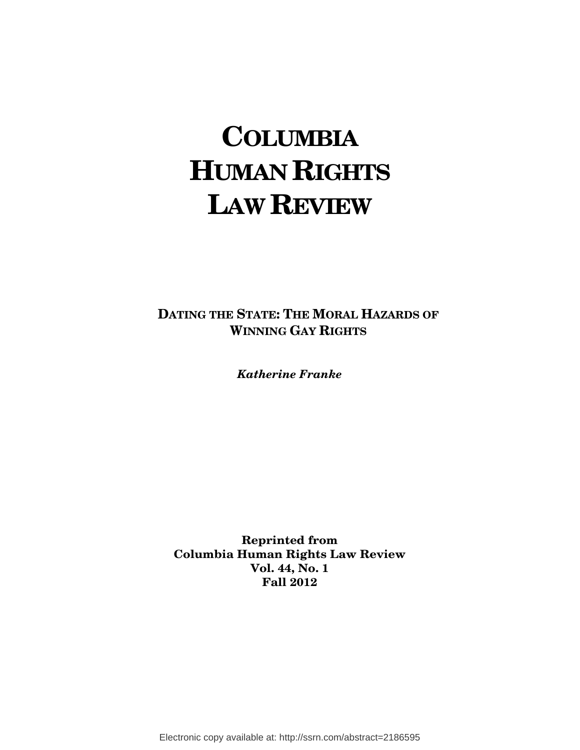# **COLUMBIA HUMAN RIGHTS LAW REVIEW**

**DATING THE STATE: THE MORAL HAZARDS OF WINNING GAY RIGHTS**

*Katherine Franke* 

**Reprinted from Columbia Human Rights Law Review Vol. 44, No. 1 Fall 2012** 

Electronic copy available at: http://ssrn.com/abstract=2186595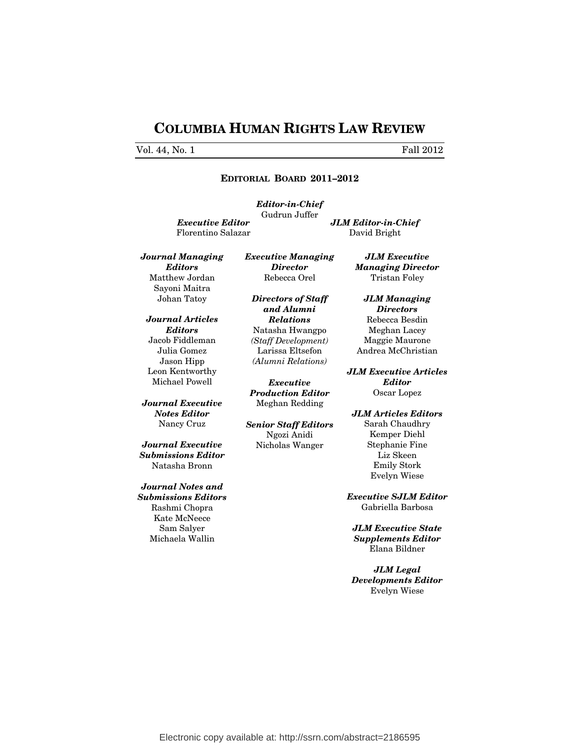## **COLUMBIA HUMAN RIGHTS LAW REVIEW**

#### Vol. 44, No. 1 Fall 2012

#### **EDITORIAL BOARD 2011–2012**

*Editor-in-Chief*  Gudrun Juffer *Executive Editor* Florentino Salazar

*JLM Editor-in-Chief*  David Bright

*Journal Managing Editors* Matthew Jordan Sayoni Maitra Johan Tatoy

*Journal Articles Editors*  Jacob Fiddleman Julia Gomez Jason Hipp Leon Kentworthy Michael Powell

*Journal Executive Notes Editor*  Nancy Cruz

*Journal Executive Submissions Editor*  Natasha Bronn

*Journal Notes and Submissions Editors*  Rashmi Chopra Kate McNeece Sam Salyer Michaela Wallin

*Executive Managing Director*  Rebecca Orel

*Directors of Staff and Alumni Relations*  Natasha Hwangpo *(Staff Development)* Larissa Eltsefon *(Alumni Relations)*

*Executive Production Editor*  Meghan Redding

*Senior Staff Editors*  Ngozi Anidi Nicholas Wanger

Tristan Foley *JLM Managing Directors*  Rebecca Besdin

*JLM Executive Managing Director* 

Meghan Lacey Maggie Maurone Andrea McChristian

*JLM Executive Articles Editor*  Oscar Lopez

*JLM Articles Editors*  Sarah Chaudhry Kemper Diehl Stephanie Fine Liz Skeen Emily Stork Evelyn Wiese

*Executive SJLM Editor*  Gabriella Barbosa

*JLM Executive State Supplements Editor*  Elana Bildner

*JLM Legal Developments Editor*  Evelyn Wiese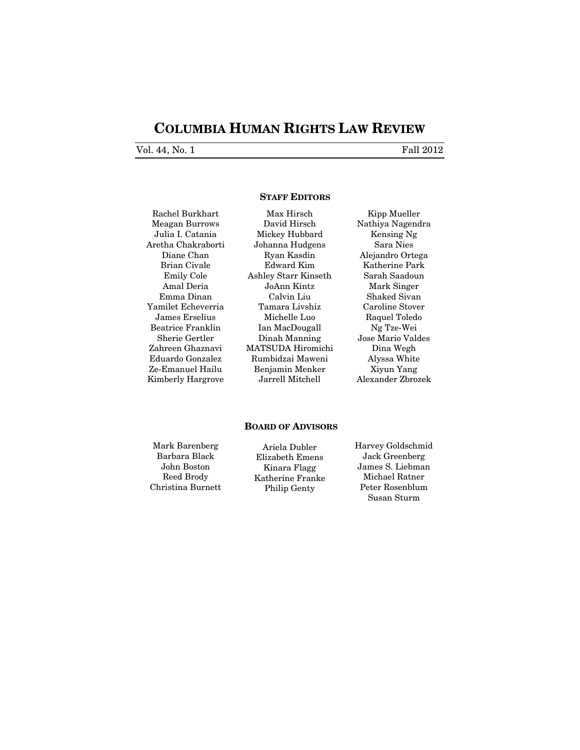## **COLUMBIA HUMAN RIGHTS LAW REVIEW**

Vol. 44, No. 1 Fall 2012

#### **STAFF EDITORS**

Rachel Burkhart Meagan Burrows Julia I. Catania Aretha Chakraborti Diane Chan Brian Civale Emily Cole Amal Deria Emma Dinan Yamilet Echeverria James Erselius Beatrice Franklin Sherie Gertler Zahreen Ghaznavi Eduardo Gonzalez Ze-Emanuel Hailu Kimberly Hargrove

Max Hirsch David Hirsch Mickey Hubbard Johanna Hudgens Ryan Kasdin Edward Kim Ashley Starr Kinseth JoAnn Kintz Calvin Liu Tamara Livshiz Michelle Luo Ian MacDougall Dinah Manning MATSUDA Hiromichi Rumbidzai Maweni Benjamin Menker Jarrell Mitchell

Kipp Mueller Nathiya Nagendra Kensing Ng Sara Nies Alejandro Ortega Katherine Park Sarah Saadoun Mark Singer Shaked Sivan Caroline Stover Raquel Toledo Ng Tze-Wei Jose Mario Valdes Dina Wegh Alyssa White Xiyun Yang Alexander Zbrozek

#### **BOARD OF ADVISORS**

Mark Barenberg Barbara Black John Boston Reed Brody Christina Burnett

Ariela Dubler Elizabeth Emens Kinara Flagg Katherine Franke Philip Genty

Harvey Goldschmid Jack Greenberg James S. Liebman Michael Ratner Peter Rosenblum Susan Sturm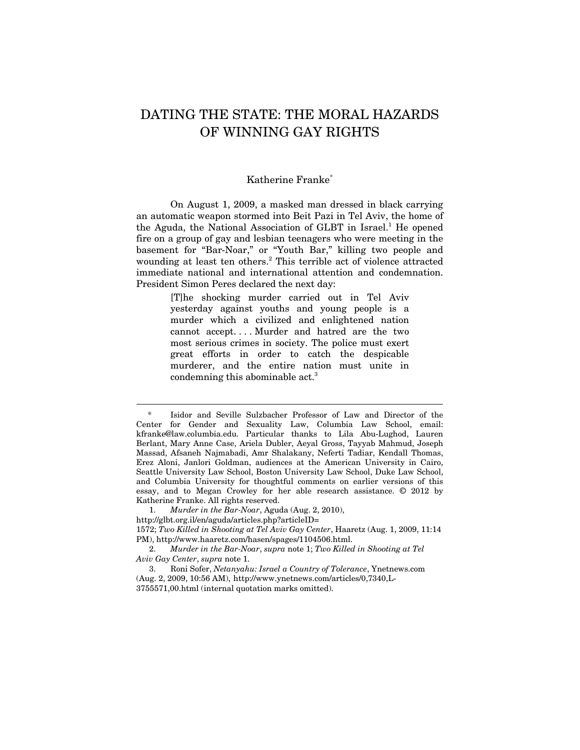## DATING THE STATE: THE MORAL HAZARDS OF WINNING GAY RIGHTS

#### Katherine Franke\*

On August 1, 2009, a masked man dressed in black carrying an automatic weapon stormed into Beit Pazi in Tel Aviv, the home of the Aguda, the National Association of GLBT in Israel.<sup>1</sup> He opened fire on a group of gay and lesbian teenagers who were meeting in the basement for "Bar-Noar," or "Youth Bar," killing two people and wounding at least ten others.<sup>2</sup> This terrible act of violence attracted immediate national and international attention and condemnation. President Simon Peres declared the next day:

> [T]he shocking murder carried out in Tel Aviv yesterday against youths and young people is a murder which a civilized and enlightened nation cannot accept. . . . Murder and hatred are the two most serious crimes in society. The police must exert great efforts in order to catch the despicable murderer, and the entire nation must unite in condemning this abominable act.3

<sup>\*</sup> Isidor and Seville Sulzbacher Professor of Law and Director of the Center for Gender and Sexuality Law, Columbia Law School, email: kfranke@law.columbia.edu. Particular thanks to Lila Abu-Lughod, Lauren Berlant, Mary Anne Case, Ariela Dubler, Aeyal Gross, Tayyab Mahmud, Joseph Massad, Afsaneh Najmabadi, Amr Shalakany, Neferti Tadiar, Kendall Thomas, Erez Aloni, Janlori Goldman, audiences at the American University in Cairo, Seattle University Law School, Boston University Law School, Duke Law School, and Columbia University for thoughtful comments on earlier versions of this essay, and to Megan Crowley for her able research assistance. © 2012 by Katherine Franke. All rights reserved.

<sup>1.</sup> *Murder in the Bar-Noar*, Aguda (Aug. 2, 2010),

http://glbt.org.il/en/aguda/articles.php?articleID=

<sup>1572;</sup> *Two Killed in Shooting at Tel Aviv Gay Center*, Haaretz (Aug. 1, 2009, 11:14 PM), http://www.haaretz.com/hasen/spages/1104506.html.

<sup>2.</sup> *Murder in the Bar-Noar*, *supra* note 1; *Two Killed in Shooting at Tel Aviv Gay Center*, *supra* note 1.

<sup>3.</sup> Roni Sofer, *Netanyahu: Israel a Country of Tolerance*, Ynetnews.com (Aug. 2, 2009, 10:56 AM), http://www.ynetnews.com/articles/0,7340,L-3755571,00.html (internal quotation marks omitted).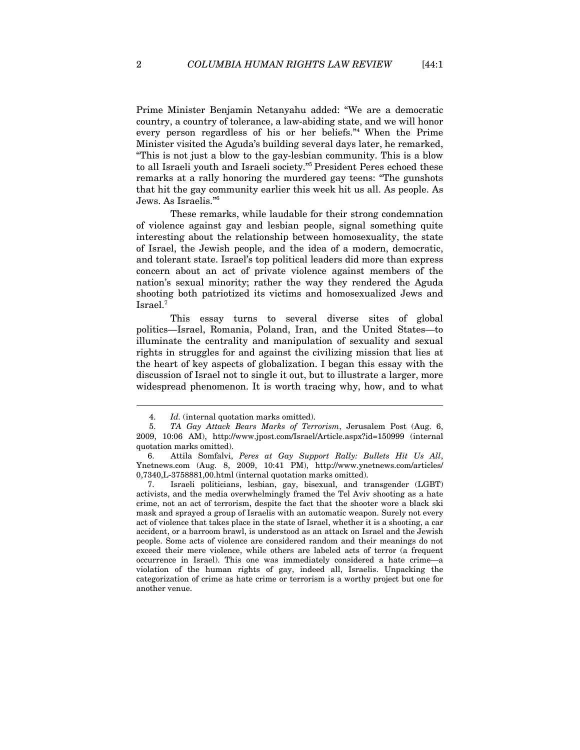Prime Minister Benjamin Netanyahu added: "We are a democratic country, a country of tolerance, a law-abiding state, and we will honor every person regardless of his or her beliefs."4 When the Prime Minister visited the Aguda's building several days later, he remarked, "This is not just a blow to the gay-lesbian community. This is a blow to all Israeli youth and Israeli society."5 President Peres echoed these remarks at a rally honoring the murdered gay teens: "The gunshots that hit the gay community earlier this week hit us all. As people. As Jews. As Israelis."6

These remarks, while laudable for their strong condemnation of violence against gay and lesbian people, signal something quite interesting about the relationship between homosexuality, the state of Israel, the Jewish people, and the idea of a modern, democratic, and tolerant state. Israel's top political leaders did more than express concern about an act of private violence against members of the nation's sexual minority; rather the way they rendered the Aguda shooting both patriotized its victims and homosexualized Jews and Israel.7

This essay turns to several diverse sites of global politics—Israel, Romania, Poland, Iran, and the United States—to illuminate the centrality and manipulation of sexuality and sexual rights in struggles for and against the civilizing mission that lies at the heart of key aspects of globalization. I began this essay with the discussion of Israel not to single it out, but to illustrate a larger, more widespread phenomenon. It is worth tracing why, how, and to what

<sup>4.</sup> *Id.* (internal quotation marks omitted).

<sup>5.</sup> *TA Gay Attack Bears Marks of Terrorism*, Jerusalem Post (Aug. 6, 2009, 10:06 AM), http://www.jpost.com/Israel/Article.aspx?id=150999 (internal quotation marks omitted).

<sup>6.</sup> Attila Somfalvi, *Peres at Gay Support Rally: Bullets Hit Us All*, Ynetnews.com (Aug. 8, 2009, 10:41 PM), http://www.ynetnews.com/articles/ 0,7340,L-3758881,00.html (internal quotation marks omitted).

<sup>7.</sup> Israeli politicians, lesbian, gay, bisexual, and transgender (LGBT) activists, and the media overwhelmingly framed the Tel Aviv shooting as a hate crime, not an act of terrorism, despite the fact that the shooter wore a black ski mask and sprayed a group of Israelis with an automatic weapon. Surely not every act of violence that takes place in the state of Israel, whether it is a shooting, a car accident, or a barroom brawl, is understood as an attack on Israel and the Jewish people. Some acts of violence are considered random and their meanings do not exceed their mere violence, while others are labeled acts of terror (a frequent occurrence in Israel). This one was immediately considered a hate crime—a violation of the human rights of gay, indeed all, Israelis. Unpacking the categorization of crime as hate crime or terrorism is a worthy project but one for another venue.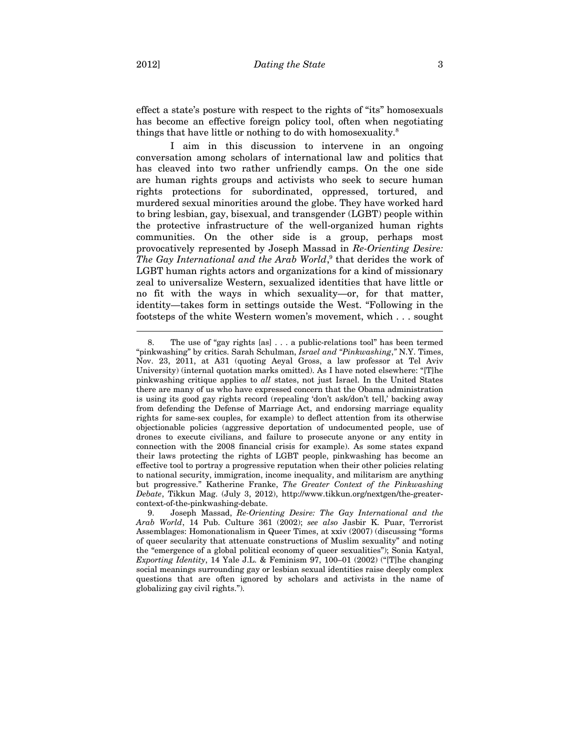effect a state's posture with respect to the rights of "its" homosexuals has become an effective foreign policy tool, often when negotiating things that have little or nothing to do with homosexuality.<sup>8</sup>

I aim in this discussion to intervene in an ongoing conversation among scholars of international law and politics that has cleaved into two rather unfriendly camps. On the one side are human rights groups and activists who seek to secure human rights protections for subordinated, oppressed, tortured, and murdered sexual minorities around the globe. They have worked hard to bring lesbian, gay, bisexual, and transgender (LGBT) people within the protective infrastructure of the well-organized human rights communities. On the other side is a group, perhaps most provocatively represented by Joseph Massad in *Re-Orienting Desire:*  The Gay International and the Arab World,<sup>9</sup> that derides the work of LGBT human rights actors and organizations for a kind of missionary zeal to universalize Western, sexualized identities that have little or no fit with the ways in which sexuality—or, for that matter, identity—takes form in settings outside the West. "Following in the footsteps of the white Western women's movement, which . . . sought

<sup>8.</sup> The use of "gay rights [as] . . . a public-relations tool" has been termed "pinkwashing" by critics. Sarah Schulman, *Israel and "Pinkwashing*,*"* N.Y. Times, Nov. 23, 2011, at A31 (quoting Aeyal Gross, a law professor at Tel Aviv University) (internal quotation marks omitted). As I have noted elsewhere: "[T]he pinkwashing critique applies to *all* states, not just Israel. In the United States there are many of us who have expressed concern that the Obama administration is using its good gay rights record (repealing 'don't ask/don't tell,' backing away from defending the Defense of Marriage Act, and endorsing marriage equality rights for same-sex couples, for example) to deflect attention from its otherwise objectionable policies (aggressive deportation of undocumented people, use of drones to execute civilians, and failure to prosecute anyone or any entity in connection with the 2008 financial crisis for example). As some states expand their laws protecting the rights of LGBT people, pinkwashing has become an effective tool to portray a progressive reputation when their other policies relating to national security, immigration, income inequality, and militarism are anything but progressive." Katherine Franke, *The Greater Context of the Pinkwashing Debate*, Tikkun Mag. (July 3, 2012), http://www.tikkun.org/nextgen/the-greatercontext-of-the-pinkwashing-debate.

<sup>9.</sup> Joseph Massad, *Re-Orienting Desire: The Gay International and the Arab World*, 14 Pub. Culture 361 (2002); *see also* Jasbir K. Puar, Terrorist Assemblages: Homonationalism in Queer Times, at xxiv (2007) (discussing "forms of queer secularity that attenuate constructions of Muslim sexuality" and noting the "emergence of a global political economy of queer sexualities"); Sonia Katyal, *Exporting Identity*, 14 Yale J.L. & Feminism 97, 100–01 (2002) ("[T]he changing social meanings surrounding gay or lesbian sexual identities raise deeply complex questions that are often ignored by scholars and activists in the name of globalizing gay civil rights.").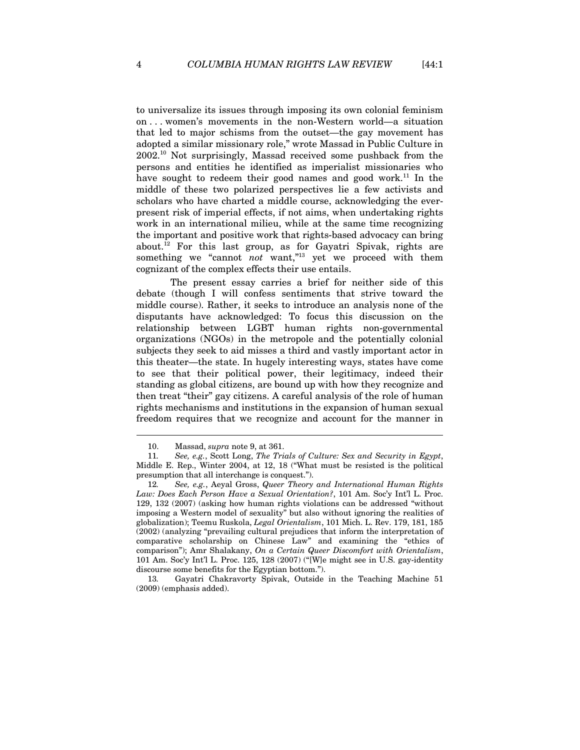to universalize its issues through imposing its own colonial feminism on . . . women's movements in the non-Western world—a situation that led to major schisms from the outset—the gay movement has adopted a similar missionary role," wrote Massad in Public Culture in 2002.10 Not surprisingly, Massad received some pushback from the persons and entities he identified as imperialist missionaries who have sought to redeem their good names and good work.<sup>11</sup> In the middle of these two polarized perspectives lie a few activists and scholars who have charted a middle course, acknowledging the everpresent risk of imperial effects, if not aims, when undertaking rights work in an international milieu, while at the same time recognizing the important and positive work that rights-based advocacy can bring about.<sup>12</sup> For this last group, as for Gayatri Spivak, rights are something we "cannot *not* want,"<sup>13</sup> yet we proceed with them cognizant of the complex effects their use entails.

The present essay carries a brief for neither side of this debate (though I will confess sentiments that strive toward the middle course). Rather, it seeks to introduce an analysis none of the disputants have acknowledged: To focus this discussion on the relationship between LGBT human rights non-governmental organizations (NGOs) in the metropole and the potentially colonial subjects they seek to aid misses a third and vastly important actor in this theater—the state. In hugely interesting ways, states have come to see that their political power, their legitimacy, indeed their standing as global citizens, are bound up with how they recognize and then treat "their" gay citizens. A careful analysis of the role of human rights mechanisms and institutions in the expansion of human sexual freedom requires that we recognize and account for the manner in

<sup>10.</sup> Massad, *supra* note 9, at 361.

<sup>11</sup>*. See, e.g.*, Scott Long, *The Trials of Culture: Sex and Security in Egypt*, Middle E. Rep., Winter 2004, at 12, 18 ("What must be resisted is the political presumption that all interchange is conquest.").

<sup>12</sup>*. See, e.g.*, Aeyal Gross, *Queer Theory and International Human Rights Law: Does Each Person Have a Sexual Orientation?*, 101 Am. Soc'y Int'l L. Proc. 129, 132 (2007) (asking how human rights violations can be addressed "without imposing a Western model of sexuality" but also without ignoring the realities of globalization); Teemu Ruskola, *Legal Orientalism*, 101 Mich. L. Rev. 179, 181, 185 (2002) (analyzing "prevailing cultural prejudices that inform the interpretation of comparative scholarship on Chinese Law" and examining the "ethics of comparison"); Amr Shalakany, *On a Certain Queer Discomfort with Orientalism*, 101 Am. Soc'y Int'l L. Proc. 125, 128 (2007) ("[W]e might see in U.S. gay-identity discourse some benefits for the Egyptian bottom.").

<sup>13</sup>*.* Gayatri Chakravorty Spivak, Outside in the Teaching Machine 51 (2009) (emphasis added).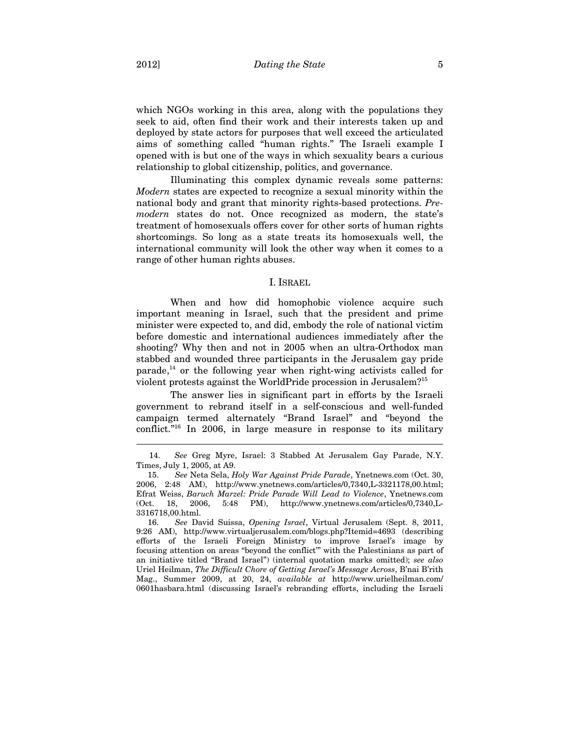which NGOs working in this area, along with the populations they seek to aid, often find their work and their interests taken up and deployed by state actors for purposes that well exceed the articulated aims of something called "human rights." The Israeli example I opened with is but one of the ways in which sexuality bears a curious relationship to global citizenship, politics, and governance.

Illuminating this complex dynamic reveals some patterns: *Modern* states are expected to recognize a sexual minority within the national body and grant that minority rights-based protections. *Premodern* states do not. Once recognized as modern, the state's treatment of homosexuals offers cover for other sorts of human rights shortcomings. So long as a state treats its homosexuals well, the international community will look the other way when it comes to a range of other human rights abuses.

#### I. ISRAEL

When and how did homophobic violence acquire such important meaning in Israel, such that the president and prime minister were expected to, and did, embody the role of national victim before domestic and international audiences immediately after the shooting? Why then and not in 2005 when an ultra-Orthodox man stabbed and wounded three participants in the Jerusalem gay pride  $\text{parade}$ ,<sup>14</sup> or the following year when right-wing activists called for violent protests against the WorldPride procession in Jerusalem?15

The answer lies in significant part in efforts by the Israeli government to rebrand itself in a self-conscious and well-funded campaign termed alternately "Brand Israel" and "beyond the conflict."16 In 2006, in large measure in response to its military

<sup>14.</sup> *See* Greg Myre, Israel: 3 Stabbed At Jerusalem Gay Parade, N.Y. Times, July 1, 2005, at A9.

<sup>15.</sup> *See* Neta Sela, *Holy War Against Pride Parade*, Ynetnews.com (Oct. 30, 2006, 2:48 AM), http://www.ynetnews.com/articles/0,7340,L-3321178,00.html; Efrat Weiss, *Baruch Marzel: Pride Parade Will Lead to Violence*, Ynetnews.com (Oct. 18, 2006, 5:48 PM), http://www.ynetnews.com/articles/0,7340,L-3316718,00.html.

<sup>16.</sup> *See* David Suissa, *Opening Israel*, Virtual Jerusalem (Sept. 8, 2011, 9:26 AM), http://www.virtualjerusalem.com/blogs.php?Itemid=4693 (describing efforts of the Israeli Foreign Ministry to improve Israel's image by focusing attention on areas "beyond the conflict'" with the Palestinians as part of an initiative titled "Brand Israel") (internal quotation marks omitted); *see also* Uriel Heilman, *The Difficult Chore of Getting Israel's Message Across*, B'nai B'rith Mag., Summer 2009, at 20, 24, *available at* http://www.urielheilman.com/ 0601hasbara.html (discussing Israel's rebranding efforts, including the Israeli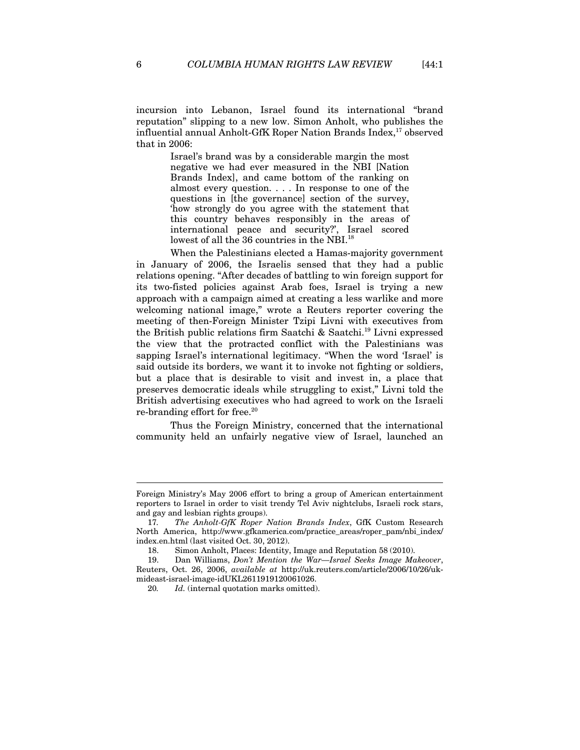incursion into Lebanon, Israel found its international "brand reputation" slipping to a new low. Simon Anholt, who publishes the influential annual Anholt-GfK Roper Nation Brands Index,<sup>17</sup> observed that in 2006:

> Israel's brand was by a considerable margin the most negative we had ever measured in the NBI [Nation Brands Index], and came bottom of the ranking on almost every question. . . . In response to one of the questions in [the governance] section of the survey, 'how strongly do you agree with the statement that this country behaves responsibly in the areas of international peace and security?', Israel scored lowest of all the 36 countries in the NBI.<sup>18</sup>

When the Palestinians elected a Hamas-majority government in January of 2006, the Israelis sensed that they had a public relations opening. "After decades of battling to win foreign support for its two-fisted policies against Arab foes, Israel is trying a new approach with a campaign aimed at creating a less warlike and more welcoming national image," wrote a Reuters reporter covering the meeting of then-Foreign Minister Tzipi Livni with executives from the British public relations firm Saatchi & Saatchi.19 Livni expressed the view that the protracted conflict with the Palestinians was sapping Israel's international legitimacy. "When the word 'Israel' is said outside its borders, we want it to invoke not fighting or soldiers, but a place that is desirable to visit and invest in, a place that preserves democratic ideals while struggling to exist," Livni told the British advertising executives who had agreed to work on the Israeli re-branding effort for free.<sup>20</sup>

Thus the Foreign Ministry, concerned that the international community held an unfairly negative view of Israel, launched an

Foreign Ministry's May 2006 effort to bring a group of American entertainment reporters to Israel in order to visit trendy Tel Aviv nightclubs, Israeli rock stars, and gay and lesbian rights groups).

<sup>17</sup>*. The Anholt-GfK Roper Nation Brands Index*, GfK Custom Research North America, http://www.gfkamerica.com/practice\_areas/roper\_pam/nbi\_index/ index.en.html (last visited Oct. 30, 2012).

<sup>18.</sup> Simon Anholt, Places: Identity, Image and Reputation 58 (2010).

<sup>19.</sup> Dan Williams, *Don't Mention the War—Israel Seeks Image Makeover*, Reuters, Oct. 26, 2006, *available at* http://uk.reuters.com/article/2006/10/26/ukmideast-israel-image-idUKL2611919120061026.

<sup>20</sup>*. Id.* (internal quotation marks omitted).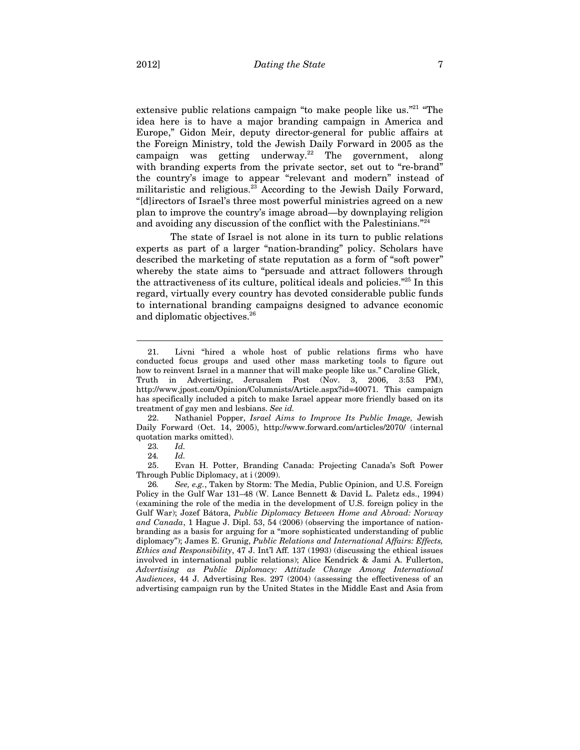extensive public relations campaign "to make people like us."<sup>21</sup> "The idea here is to have a major branding campaign in America and Europe," Gidon Meir, deputy director-general for public affairs at the Foreign Ministry, told the Jewish Daily Forward in 2005 as the campaign was getting underway.<sup>22</sup> The government, along with branding experts from the private sector, set out to "re-brand" the country's image to appear "relevant and modern" instead of militaristic and religious.<sup>23</sup> According to the Jewish Daily Forward, "[d]irectors of Israel's three most powerful ministries agreed on a new plan to improve the country's image abroad—by downplaying religion and avoiding any discussion of the conflict with the Palestinians."24

The state of Israel is not alone in its turn to public relations experts as part of a larger "nation-branding" policy. Scholars have described the marketing of state reputation as a form of "soft power" whereby the state aims to "persuade and attract followers through the attractiveness of its culture, political ideals and policies."25 In this regard, virtually every country has devoted considerable public funds to international branding campaigns designed to advance economic and diplomatic objectives.26

22. Nathaniel Popper, *Israel Aims to Improve Its Public Image,* Jewish Daily Forward (Oct. 14, 2005), http://www.forward.com/articles/2070/ (internal quotation marks omitted).

 $\overline{a}$ 

25. Evan H. Potter, Branding Canada: Projecting Canada's Soft Power Through Public Diplomacy, at i (2009).

<sup>21.</sup> Livni "hired a whole host of public relations firms who have conducted focus groups and used other mass marketing tools to figure out how to reinvent Israel in a manner that will make people like us." Caroline Glick, Truth in Advertising, Jerusalem Post (Nov. 3, 2006, 3:53 PM), http://www.jpost.com/Opinion/Columnists/Article.aspx?id=40071. This campaign has specifically included a pitch to make Israel appear more friendly based on its treatment of gay men and lesbians. *See id.* 

<sup>23</sup>*. Id.*

<sup>24</sup>*. Id.*

<sup>26</sup>*. See, e.g.*, Taken by Storm: The Media, Public Opinion, and U.S. Foreign Policy in the Gulf War 131–48 (W. Lance Bennett & David L. Paletz eds., 1994) (examining the role of the media in the development of U.S. foreign policy in the Gulf War); Jozef Bátora, *Public Diplomacy Between Home and Abroad: Norway and Canada*, 1 Hague J. Dipl. 53, 54 (2006) (observing the importance of nationbranding as a basis for arguing for a "more sophisticated understanding of public diplomacy"); James E. Grunig, *Public Relations and International Affairs: Effects, Ethics and Responsibility*, 47 J. Int'l Aff. 137 (1993) (discussing the ethical issues involved in international public relations); Alice Kendrick & Jami A. Fullerton, *Advertising as Public Diplomacy: Attitude Change Among International Audiences*, 44 J. Advertising Res. 297 (2004) (assessing the effectiveness of an advertising campaign run by the United States in the Middle East and Asia from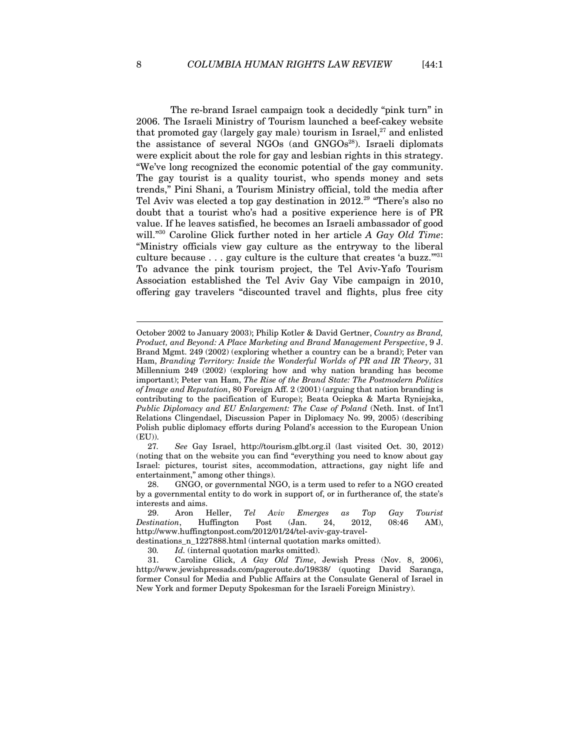The re-brand Israel campaign took a decidedly "pink turn" in 2006. The Israeli Ministry of Tourism launched a beef-cakey website that promoted gay (largely gay male) tourism in Israel, $27$  and enlisted the assistance of several NGOs (and  $GNGOs<sup>28</sup>$ ). Israeli diplomats were explicit about the role for gay and lesbian rights in this strategy. "We've long recognized the economic potential of the gay community. The gay tourist is a quality tourist, who spends money and sets trends," Pini Shani, a Tourism Ministry official, told the media after Tel Aviv was elected a top gay destination in  $2012.^{29}$  "There's also no doubt that a tourist who's had a positive experience here is of PR value. If he leaves satisfied, he becomes an Israeli ambassador of good will."30 Caroline Glick further noted in her article *A Gay Old Time*: "Ministry officials view gay culture as the entryway to the liberal culture because  $\ldots$  gay culture is the culture that creates 'a buzz."<sup>31</sup> To advance the pink tourism project, the Tel Aviv-Yafo Tourism Association established the Tel Aviv Gay Vibe campaign in 2010, offering gay travelers "discounted travel and flights, plus free city

October 2002 to January 2003); Philip Kotler & David Gertner, *Country as Brand, Product, and Beyond: A Place Marketing and Brand Management Perspective*, 9 J. Brand Mgmt. 249 (2002) (exploring whether a country can be a brand); Peter van Ham, *Branding Territory: Inside the Wonderful Worlds of PR and IR Theory*, 31 Millennium 249 (2002) (exploring how and why nation branding has become important); Peter van Ham, *The Rise of the Brand State: The Postmodern Politics of Image and Reputation*, 80 Foreign Aff. 2 (2001) (arguing that nation branding is contributing to the pacification of Europe); Beata Ociepka & Marta Ryniejska, *Public Diplomacy and EU Enlargement: The Case of Poland* (Neth. Inst. of Int'l Relations Clingendael, Discussion Paper in Diplomacy No. 99, 2005) (describing Polish public diplomacy efforts during Poland's accession to the European Union (EU)).

<sup>27</sup>*. See* Gay Israel, http://tourism.glbt.org.il (last visited Oct. 30, 2012) (noting that on the website you can find "everything you need to know about gay Israel: pictures, tourist sites, accommodation, attractions, gay night life and entertainment," among other things).

GNGO, or governmental NGO, is a term used to refer to a NGO created by a governmental entity to do work in support of, or in furtherance of, the state's interests and aims.

<sup>29.</sup> Aron Heller, *Tel Aviv Emerges as Top Gay Tourist Destination*, Huffington Post (Jan. 24, 2012, 08:46 AM), http://www.huffingtonpost.com/2012/01/24/tel-aviv-gay-travel-

destinations\_n\_1227888.html (internal quotation marks omitted).

<sup>30</sup>*. Id.* (internal quotation marks omitted).

<sup>31.</sup> Caroline Glick, *A Gay Old Time*, Jewish Press (Nov. 8, 2006), http://www.jewishpressads.com/pageroute.do/19838/ (quoting David Saranga, former Consul for Media and Public Affairs at the Consulate General of Israel in New York and former Deputy Spokesman for the Israeli Foreign Ministry).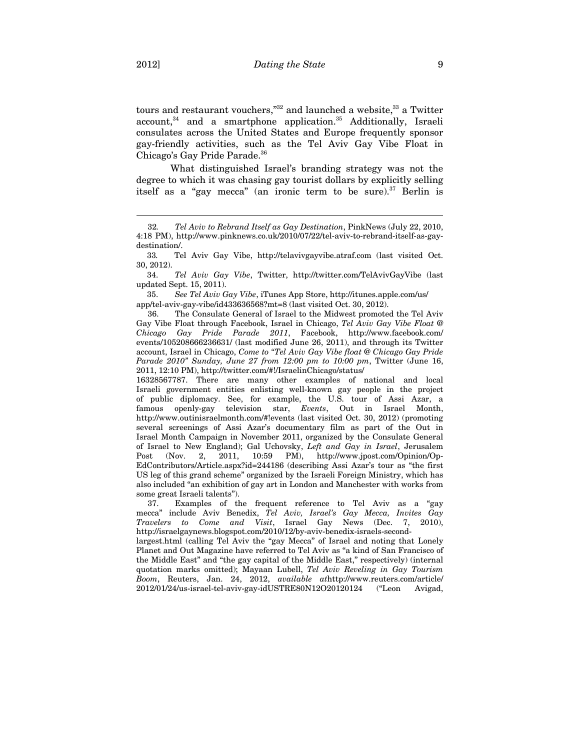tours and restaurant vouchers,"<sup>32</sup> and launched a website,<sup>33</sup> a Twitter  $account<sup>34</sup>$  and a smartphone application.<sup>35</sup> Additionally, Israeli consulates across the United States and Europe frequently sponsor gay-friendly activities, such as the Tel Aviv Gay Vibe Float in Chicago's Gay Pride Parade.<sup>36</sup>

What distinguished Israel's branding strategy was not the degree to which it was chasing gay tourist dollars by explicitly selling itself as a "gay mecca" (an ironic term to be sure). $37$  Berlin is

 34. *Tel Aviv Gay Vibe*, Twitter, http://twitter.com/TelAvivGayVibe (last updated Sept. 15, 2011).

 35. *See Tel Aviv Gay Vibe*, iTunes App Store, http://itunes.apple.com/us/ app/tel-aviv-gay-vibe/id433636568?mt=8 (last visited Oct. 30, 2012).

36. The Consulate General of Israel to the Midwest promoted the Tel Aviv Gay Vibe Float through Facebook, Israel in Chicago, *Tel Aviv Gay Vibe Float @ Chicago Gay Pride Parade 2011*, Facebook, http://www.facebook.com/ events/105208666236631/ (last modified June 26, 2011), and through its Twitter account, Israel in Chicago, *Come to "Tel Aviv Gay Vibe float @ Chicago Gay Pride Parade 2010" Sunday, June 27 from 12:00 pm to 10:00 pm*, Twitter (June 16, 2011, 12:10 PM), http://twitter.com/#!/IsraelinChicago/status/

16328567787. There are many other examples of national and local Israeli government entities enlisting well-known gay people in the project of public diplomacy. See, for example, the U.S. tour of Assi Azar, a famous openly-gay television star, *Events*, Out in Israel Month, http://www.outinisraelmonth.com/#!events (last visited Oct. 30, 2012) (promoting several screenings of Assi Azar's documentary film as part of the Out in Israel Month Campaign in November 2011, organized by the Consulate General of Israel to New England); Gal Uchovsky, *Left and Gay in Israel*, Jerusalem Post (Nov. 2, 2011, 10:59 PM), http://www.jpost.com/Opinion/Op-EdContributors/Article.aspx?id=244186 (describing Assi Azar's tour as "the first US leg of this grand scheme" organized by the Israeli Foreign Ministry, which has also included "an exhibition of gay art in London and Manchester with works from some great Israeli talents").

37. Examples of the frequent reference to Tel Aviv as a "gay mecca" include Aviv Benedix, *Tel Aviv, Israel's Gay Mecca, Invites Gay Travelers to Come and Visit*, Israel Gay News (Dec. 7, 2010), http://israelgaynews.blogspot.com/2010/12/by-aviv-benedix-israels-second-

largest.html (calling Tel Aviv the "gay Mecca" of Israel and noting that Lonely Planet and Out Magazine have referred to Tel Aviv as "a kind of San Francisco of the Middle East" and "the gay capital of the Middle East," respectively) (internal quotation marks omitted); Mayaan Lubell, *Tel Aviv Reveling in Gay Tourism Boom*, Reuters, Jan. 24, 2012, *available at*http://www.reuters.com/article/ 2012/01/24/us-israel-tel-aviv-gay-idUSTRE80N12O20120124 ("Leon Avigad,

<sup>32</sup>*. Tel Aviv to Rebrand Itself as Gay Destination*, PinkNews (July 22, 2010, 4:18 PM), http://www.pinknews.co.uk/2010/07/22/tel-aviv-to-rebrand-itself-as-gaydestination/.

 <sup>33</sup>*.* Tel Aviv Gay Vibe, http://telavivgayvibe.atraf.com (last visited Oct. 30, 2012).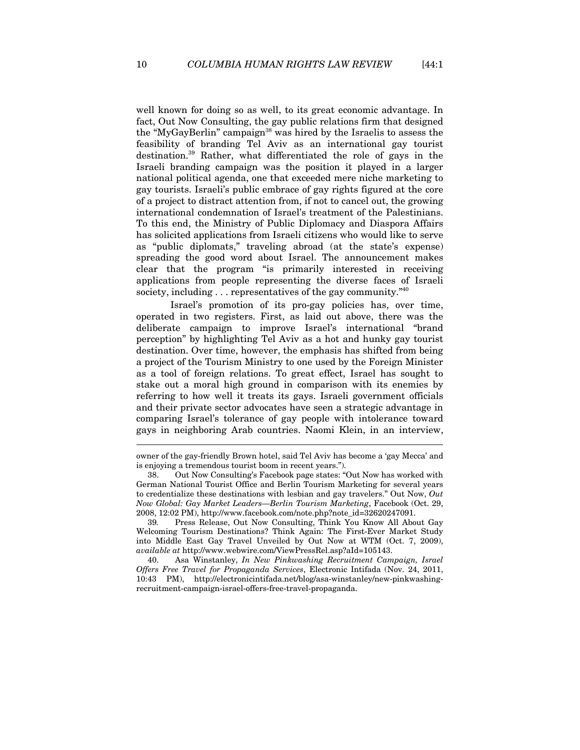well known for doing so as well, to its great economic advantage. In fact, Out Now Consulting, the gay public relations firm that designed the "MyGayBerlin" campaign<sup>38</sup> was hired by the Israelis to assess the feasibility of branding Tel Aviv as an international gay tourist destination.39 Rather, what differentiated the role of gays in the Israeli branding campaign was the position it played in a larger national political agenda, one that exceeded mere niche marketing to gay tourists. Israeli's public embrace of gay rights figured at the core of a project to distract attention from, if not to cancel out, the growing international condemnation of Israel's treatment of the Palestinians. To this end, the Ministry of Public Diplomacy and Diaspora Affairs has solicited applications from Israeli citizens who would like to serve as "public diplomats," traveling abroad (at the state's expense) spreading the good word about Israel. The announcement makes clear that the program "is primarily interested in receiving applications from people representing the diverse faces of Israeli society, including  $\dots$  representatives of the gay community.<sup>740</sup>

Israel's promotion of its pro-gay policies has, over time, operated in two registers. First, as laid out above, there was the deliberate campaign to improve Israel's international "brand perception" by highlighting Tel Aviv as a hot and hunky gay tourist destination. Over time, however, the emphasis has shifted from being a project of the Tourism Ministry to one used by the Foreign Minister as a tool of foreign relations. To great effect, Israel has sought to stake out a moral high ground in comparison with its enemies by referring to how well it treats its gays. Israeli government officials and their private sector advocates have seen a strategic advantage in comparing Israel's tolerance of gay people with intolerance toward gays in neighboring Arab countries. Naomi Klein, in an interview,

40. Asa Winstanley, *In New Pinkwashing Recruitment Campaign, Israel Offers Free Travel for Propaganda Services*, Electronic Intifada (Nov. 24, 2011, 10:43 PM), http://electronicintifada.net/blog/asa-winstanley/new-pinkwashingrecruitment-campaign-israel-offers-free-travel-propaganda.

owner of the gay-friendly Brown hotel, said Tel Aviv has become a 'gay Mecca' and is enjoying a tremendous tourist boom in recent years.").

<sup>38.</sup> Out Now Consulting's Facebook page states: "Out Now has worked with German National Tourist Office and Berlin Tourism Marketing for several years to credentialize these destinations with lesbian and gay travelers." Out Now, *Out Now Global: Gay Market Leaders—Berlin Tourism Marketing*, Facebook (Oct. 29, 2008, 12:02 PM), http://www.facebook.com/note.php?note\_id=32620247091.

<sup>39</sup>*.* Press Release, Out Now Consulting, Think You Know All About Gay Welcoming Tourism Destinations? Think Again: The First-Ever Market Study into Middle East Gay Travel Unveiled by Out Now at WTM (Oct. 7, 2009), *available at* http://www.webwire.com/ViewPressRel.asp?aId=105143.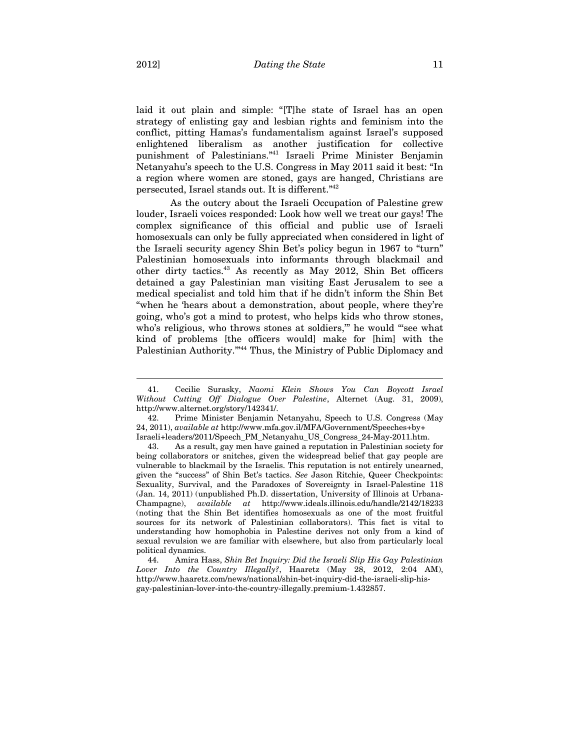laid it out plain and simple: "[T]he state of Israel has an open strategy of enlisting gay and lesbian rights and feminism into the conflict, pitting Hamas's fundamentalism against Israel's supposed enlightened liberalism as another justification for collective punishment of Palestinians."41 Israeli Prime Minister Benjamin Netanyahu's speech to the U.S. Congress in May 2011 said it best: "In a region where women are stoned, gays are hanged, Christians are persecuted, Israel stands out. It is different."42

As the outcry about the Israeli Occupation of Palestine grew louder, Israeli voices responded: Look how well we treat our gays! The complex significance of this official and public use of Israeli homosexuals can only be fully appreciated when considered in light of the Israeli security agency Shin Bet's policy begun in 1967 to "turn" Palestinian homosexuals into informants through blackmail and other dirty tactics.43 As recently as May 2012, Shin Bet officers detained a gay Palestinian man visiting East Jerusalem to see a medical specialist and told him that if he didn't inform the Shin Bet "when he 'hears about a demonstration, about people, where they're going, who's got a mind to protest, who helps kids who throw stones, who's religious, who throws stones at soldiers," he would "see what kind of problems [the officers would] make for [him] with the Palestinian Authority."<sup>44</sup> Thus, the Ministry of Public Diplomacy and

<sup>41.</sup> Cecilie Surasky, *Naomi Klein Shows You Can Boycott Israel Without Cutting Off Dialogue Over Palestine*, Alternet (Aug. 31, 2009), http://www.alternet.org/story/142341/.

<sup>42.</sup> Prime Minister Benjamin Netanyahu, Speech to U.S. Congress (May 24, 2011), *available at* http://www.mfa.gov.il/MFA/Government/Speeches+by+ Israeli+leaders/2011/Speech\_PM\_Netanyahu\_US\_Congress\_24-May-2011.htm.

<sup>43.</sup> As a result, gay men have gained a reputation in Palestinian society for being collaborators or snitches, given the widespread belief that gay people are vulnerable to blackmail by the Israelis. This reputation is not entirely unearned, given the "success" of Shin Bet's tactics. *See* Jason Ritchie, Queer Checkpoints: Sexuality, Survival, and the Paradoxes of Sovereignty in Israel-Palestine 118 (Jan. 14, 2011) (unpublished Ph.D. dissertation, University of Illinois at Urbana-Champagne), *available at* http://www.ideals.illinois.edu/handle/2142/18233 (noting that the Shin Bet identifies homosexuals as one of the most fruitful sources for its network of Palestinian collaborators). This fact is vital to understanding how homophobia in Palestine derives not only from a kind of sexual revulsion we are familiar with elsewhere, but also from particularly local political dynamics.

<sup>44.</sup> Amira Hass, *Shin Bet Inquiry: Did the Israeli Slip His Gay Palestinian Lover Into the Country Illegally?*, Haaretz (May 28, 2012, 2:04 AM), http://www.haaretz.com/news/national/shin-bet-inquiry-did-the-israeli-slip-hisgay-palestinian-lover-into-the-country-illegally.premium-1.432857.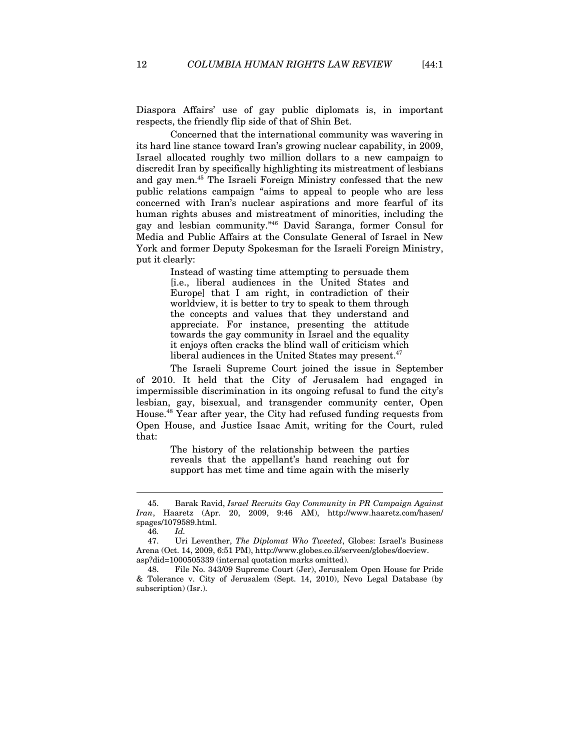Diaspora Affairs' use of gay public diplomats is, in important respects, the friendly flip side of that of Shin Bet.

Concerned that the international community was wavering in its hard line stance toward Iran's growing nuclear capability, in 2009, Israel allocated roughly two million dollars to a new campaign to discredit Iran by specifically highlighting its mistreatment of lesbians and gay men.45 The Israeli Foreign Ministry confessed that the new public relations campaign "aims to appeal to people who are less concerned with Iran's nuclear aspirations and more fearful of its human rights abuses and mistreatment of minorities, including the gay and lesbian community."46 David Saranga, former Consul for Media and Public Affairs at the Consulate General of Israel in New York and former Deputy Spokesman for the Israeli Foreign Ministry, put it clearly:

> Instead of wasting time attempting to persuade them [i.e., liberal audiences in the United States and Europe] that I am right, in contradiction of their worldview, it is better to try to speak to them through the concepts and values that they understand and appreciate. For instance, presenting the attitude towards the gay community in Israel and the equality it enjoys often cracks the blind wall of criticism which liberal audiences in the United States may present.<sup>47</sup>

The Israeli Supreme Court joined the issue in September of 2010. It held that the City of Jerusalem had engaged in impermissible discrimination in its ongoing refusal to fund the city's lesbian, gay, bisexual, and transgender community center, Open House.48 Year after year, the City had refused funding requests from Open House, and Justice Isaac Amit, writing for the Court, ruled that:

> The history of the relationship between the parties reveals that the appellant's hand reaching out for support has met time and time again with the miserly

<sup>45.</sup> Barak Ravid, *Israel Recruits Gay Community in PR Campaign Against Iran*, Haaretz (Apr. 20, 2009, 9:46 AM), http://www.haaretz.com/hasen/ spages/1079589.html.

<sup>46</sup>*. Id.*

<sup>47.</sup> Uri Leventher, *The Diplomat Who Tweeted*, Globes: Israel's Business Arena (Oct. 14, 2009, 6:51 PM), http://www.globes.co.il/serveen/globes/docview. asp?did=1000505339 (internal quotation marks omitted).

<sup>48.</sup> File No. 343/09 Supreme Court (Jer), Jerusalem Open House for Pride & Tolerance v. City of Jerusalem (Sept. 14, 2010), Nevo Legal Database (by subscription) (Isr.).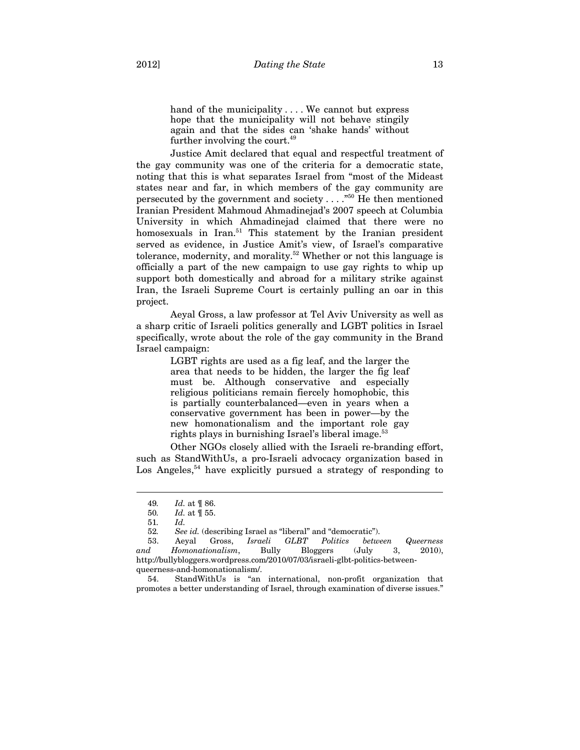hand of the municipality . . . . We cannot but express hope that the municipality will not behave stingily again and that the sides can 'shake hands' without further involving the court.<sup>49</sup>

Justice Amit declared that equal and respectful treatment of the gay community was one of the criteria for a democratic state, noting that this is what separates Israel from "most of the Mideast states near and far, in which members of the gay community are persecuted by the government and society  $\dots$ ."<sup>50</sup> He then mentioned Iranian President Mahmoud Ahmadinejad's 2007 speech at Columbia University in which Ahmadinejad claimed that there were no homosexuals in Iran.<sup>51</sup> This statement by the Iranian president served as evidence, in Justice Amit's view, of Israel's comparative tolerance, modernity, and morality.52 Whether or not this language is officially a part of the new campaign to use gay rights to whip up support both domestically and abroad for a military strike against Iran, the Israeli Supreme Court is certainly pulling an oar in this project.

Aeyal Gross, a law professor at Tel Aviv University as well as a sharp critic of Israeli politics generally and LGBT politics in Israel specifically, wrote about the role of the gay community in the Brand Israel campaign:

> LGBT rights are used as a fig leaf, and the larger the area that needs to be hidden, the larger the fig leaf must be. Although conservative and especially religious politicians remain fiercely homophobic, this is partially counterbalanced—even in years when a conservative government has been in power—by the new homonationalism and the important role gay rights plays in burnishing Israel's liberal image.<sup>53</sup>

Other NGOs closely allied with the Israeli re-branding effort, such as StandWithUs, a pro-Israeli advocacy organization based in Los Angeles,<sup>54</sup> have explicitly pursued a strategy of responding to

<sup>49</sup>*. Id.* at ¶ 86.

<sup>50</sup>*. Id.* at ¶ 55.

<sup>51</sup>*. Id.*

<sup>52</sup>*. See id.* (describing Israel as "liberal" and "democratic").

<sup>53.</sup> Aeyal Gross, *Israeli GLBT Politics between Queerness and Homonationalism*, Bully Bloggers (July 3, 2010), http://bullybloggers.wordpress.com/2010/07/03/israeli-glbt-politics-betweenqueerness-and-homonationalism/.

<sup>54.</sup> StandWithUs is "an international, non-profit organization that promotes a better understanding of Israel, through examination of diverse issues."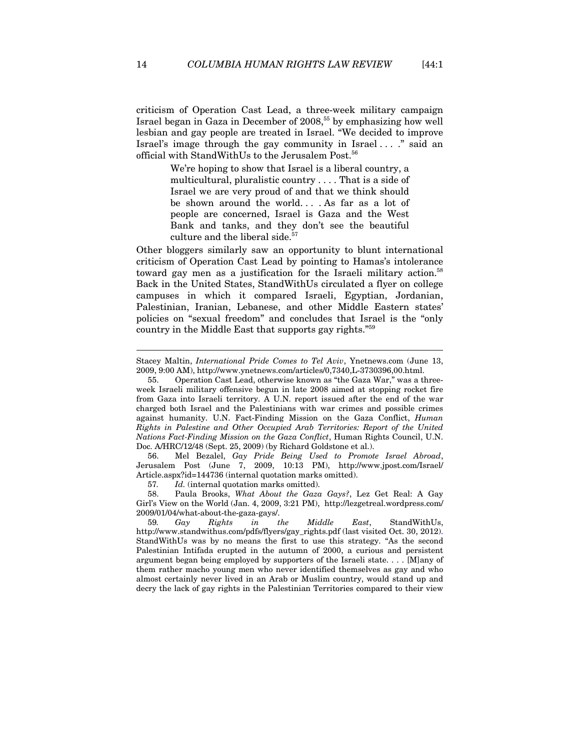criticism of Operation Cast Lead, a three-week military campaign Israel began in Gaza in December of 2008,55 by emphasizing how well lesbian and gay people are treated in Israel. "We decided to improve Israel's image through the gay community in Israel . . . ." said an official with StandWithUs to the Jerusalem Post.56

> We're hoping to show that Israel is a liberal country, a multicultural, pluralistic country . . . . That is a side of Israel we are very proud of and that we think should be shown around the world. . . . As far as a lot of people are concerned, Israel is Gaza and the West Bank and tanks, and they don't see the beautiful culture and the liberal side.<sup>57</sup>

Other bloggers similarly saw an opportunity to blunt international criticism of Operation Cast Lead by pointing to Hamas's intolerance toward gay men as a justification for the Israeli military action.<sup>58</sup> Back in the United States, StandWithUs circulated a flyer on college campuses in which it compared Israeli, Egyptian, Jordanian, Palestinian, Iranian, Lebanese, and other Middle Eastern states' policies on "sexual freedom" and concludes that Israel is the "only country in the Middle East that supports gay rights."59

56. Mel Bezalel, *Gay Pride Being Used to Promote Israel Abroad*, Jerusalem Post (June 7, 2009, 10:13 PM), http://www.jpost.com/Israel/ Article.aspx?id=144736 (internal quotation marks omitted).

57*. Id.* (internal quotation marks omitted).

58. Paula Brooks, *What About the Gaza Gays?*, Lez Get Real: A Gay Girl's View on the World (Jan. 4, 2009, 3:21 PM), http://lezgetreal.wordpress.com/ 2009/01/04/what-about-the-gaza-gays/.

59*. Gay Rights in the Middle East*, StandWithUs, http://www.standwithus.com/pdfs/flyers/gay\_rights.pdf (last visited Oct. 30, 2012). StandWithUs was by no means the first to use this strategy. "As the second Palestinian Intifada erupted in the autumn of 2000, a curious and persistent argument began being employed by supporters of the Israeli state. . . . [M]any of them rather macho young men who never identified themselves as gay and who almost certainly never lived in an Arab or Muslim country, would stand up and decry the lack of gay rights in the Palestinian Territories compared to their view

Stacey Maltin, *International Pride Comes to Tel Aviv*, Ynetnews.com (June 13, 2009, 9:00 AM), http://www.ynetnews.com/articles/0,7340,L-3730396,00.html.

<sup>55.</sup> Operation Cast Lead, otherwise known as "the Gaza War," was a threeweek Israeli military offensive begun in late 2008 aimed at stopping rocket fire from Gaza into Israeli territory. A U.N. report issued after the end of the war charged both Israel and the Palestinians with war crimes and possible crimes against humanity. U.N. Fact-Finding Mission on the Gaza Conflict, *Human Rights in Palestine and Other Occupied Arab Territories: Report of the United Nations Fact-Finding Mission on the Gaza Conflict*, Human Rights Council, U.N. Doc. A/HRC/12/48 (Sept. 25, 2009) (by Richard Goldstone et al.).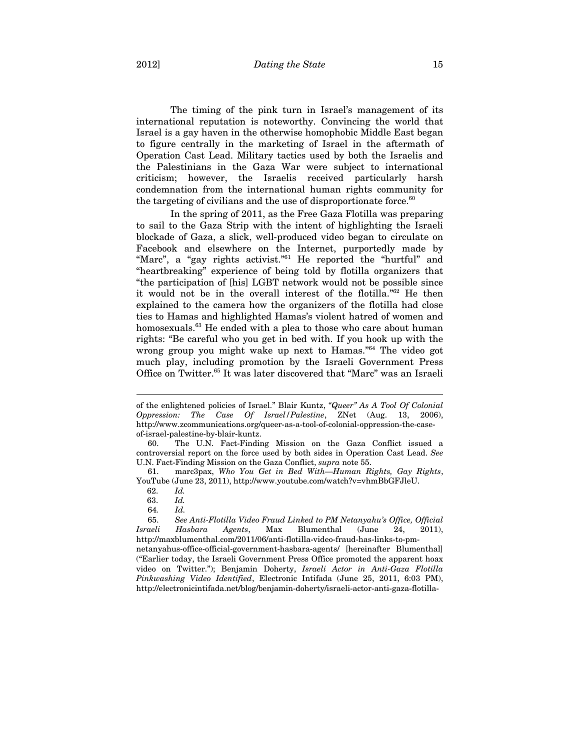The timing of the pink turn in Israel's management of its international reputation is noteworthy. Convincing the world that Israel is a gay haven in the otherwise homophobic Middle East began to figure centrally in the marketing of Israel in the aftermath of Operation Cast Lead. Military tactics used by both the Israelis and the Palestinians in the Gaza War were subject to international criticism; however, the Israelis received particularly harsh condemnation from the international human rights community for the targeting of civilians and the use of disproportionate force. $60$ 

In the spring of 2011, as the Free Gaza Flotilla was preparing to sail to the Gaza Strip with the intent of highlighting the Israeli blockade of Gaza, a slick, well-produced video began to circulate on Facebook and elsewhere on the Internet, purportedly made by "Marc", a "gay rights activist."61 He reported the "hurtful" and "heartbreaking" experience of being told by flotilla organizers that "the participation of [his] LGBT network would not be possible since it would not be in the overall interest of the flotilla."62 He then explained to the camera how the organizers of the flotilla had close ties to Hamas and highlighted Hamas's violent hatred of women and homosexuals.<sup>63</sup> He ended with a plea to those who care about human rights: "Be careful who you get in bed with. If you hook up with the wrong group you might wake up next to Hamas."64 The video got much play, including promotion by the Israeli Government Press Office on Twitter.65 It was later discovered that "Marc" was an Israeli

of the enlightened policies of Israel." Blair Kuntz, *"Queer" As A Tool Of Colonial Oppression: The Case Of Israel/Palestine*, ZNet (Aug. 13, 2006), http://www.zcommunications.org/queer-as-a-tool-of-colonial-oppression-the-caseof-israel-palestine-by-blair-kuntz.

<sup>60.</sup> The U.N. Fact-Finding Mission on the Gaza Conflict issued a controversial report on the force used by both sides in Operation Cast Lead. *See*  U.N. Fact-Finding Mission on the Gaza Conflict, *supra* note 55.

<sup>61.</sup> marc3pax, *Who You Get in Bed With*—*Human Rights, Gay Rights*, YouTube (June 23, 2011), http://www.youtube.com/watch?v=vhmBbGFJleU.

 <sup>62.</sup> *Id.*

 <sup>63.</sup> *Id.*

<sup>64</sup>*. Id.*

<sup>65.</sup> *See Anti-Flotilla Video Fraud Linked to PM Netanyahu's Office, Official Israeli Hasbara Agents*, Max Blumenthal (June 24, 2011), http://maxblumenthal.com/2011/06/anti-flotilla-video-fraud-has-links-to-pmnetanyahus-office-official-government-hasbara-agents/ [hereinafter Blumenthal] ("Earlier today, the Israeli Government Press Office promoted the apparent hoax video on Twitter."); Benjamin Doherty, *Israeli Actor in Anti-Gaza Flotilla Pinkwashing Video Identified*, Electronic Intifada (June 25, 2011, 6:03 PM), http://electronicintifada.net/blog/benjamin-doherty/israeli-actor-anti-gaza-flotilla-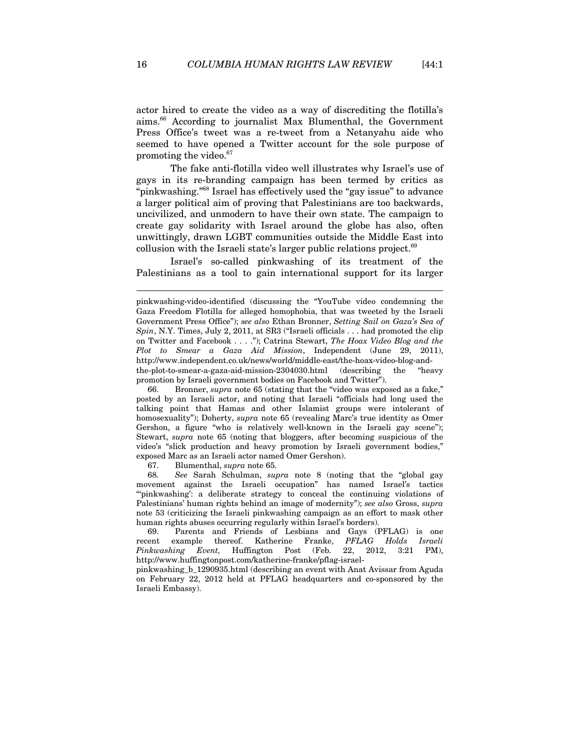actor hired to create the video as a way of discrediting the flotilla's aims.66 According to journalist Max Blumenthal, the Government Press Office's tweet was a re-tweet from a Netanyahu aide who seemed to have opened a Twitter account for the sole purpose of promoting the video.<sup>67</sup>

The fake anti-flotilla video well illustrates why Israel's use of gays in its re-branding campaign has been termed by critics as "pinkwashing."68 Israel has effectively used the "gay issue" to advance a larger political aim of proving that Palestinians are too backwards, uncivilized, and unmodern to have their own state. The campaign to create gay solidarity with Israel around the globe has also, often unwittingly, drawn LGBT communities outside the Middle East into collusion with the Israeli state's larger public relations project.<sup>69</sup>

Israel's so-called pinkwashing of its treatment of the Palestinians as a tool to gain international support for its larger

66. Bronner, *supra* note 65 (stating that the "video was exposed as a fake," posted by an Israeli actor, and noting that Israeli "officials had long used the talking point that Hamas and other Islamist groups were intolerant of homosexuality"); Doherty, *supra* note 65 (revealing Marc's true identity as Omer Gershon, a figure "who is relatively well-known in the Israeli gay scene"); Stewart, *supra* note 65 (noting that bloggers, after becoming suspicious of the video's "slick production and heavy promotion by Israeli government bodies," exposed Marc as an Israeli actor named Omer Gershon).

67. Blumenthal, *supra* note 65.

68*. See* Sarah Schulman, *supra* note 8 (noting that the "global gay movement against the Israeli occupation" has named Israel's tactics "pinkwashing': a deliberate strategy to conceal the continuing violations of Palestinians' human rights behind an image of modernity"); *see also* Gross, *supra* note 53 (criticizing the Israeli pinkwashing campaign as an effort to mask other human rights abuses occurring regularly within Israel's borders).

69. Parents and Friends of Lesbians and Gays (PFLAG) is one recent example thereof. Katherine Franke, *PFLAG Holds Israeli Pinkwashing Event,* Huffington Post (Feb. 22, 2012, 3:21 PM), http://www.huffingtonpost.com/katherine-franke/pflag-israel-

pinkwashing\_b\_1290935.html (describing an event with Anat Avissar from Aguda on February 22, 2012 held at PFLAG headquarters and co-sponsored by the Israeli Embassy).

pinkwashing-video-identified (discussing the "YouTube video condemning the Gaza Freedom Flotilla for alleged homophobia, that was tweeted by the Israeli Government Press Office"); *see also* Ethan Bronner, *Setting Sail on Gaza's Sea of Spin*, N.Y. Times, July 2, 2011, at SR3 ("Israeli officials . . . had promoted the clip on Twitter and Facebook . . . ."); Catrina Stewart, *The Hoax Video Blog and the Plot to Smear a Gaza Aid Mission*, Independent (June 29, 2011), http://www.independent.co.uk/news/world/middle-east/the-hoax-video-blog-andthe-plot-to-smear-a-gaza-aid-mission-2304030.html (describing the "heavy promotion by Israeli government bodies on Facebook and Twitter").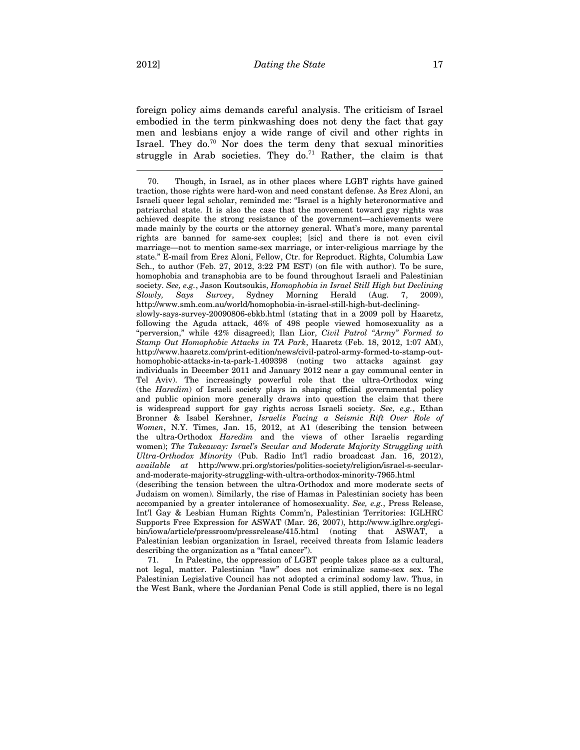foreign policy aims demands careful analysis. The criticism of Israel embodied in the term pinkwashing does not deny the fact that gay men and lesbians enjoy a wide range of civil and other rights in Israel. They do. $70$  Nor does the term deny that sexual minorities struggle in Arab societies. They do.<sup>71</sup> Rather, the claim is that

Judaism on women). Similarly, the rise of Hamas in Palestinian society has been accompanied by a greater intolerance of homosexuality. *See, e.g.*, Press Release, Int'l Gay & Lesbian Human Rights Comm'n, Palestinian Territories: IGLHRC Supports Free Expression for ASWAT (Mar. 26, 2007), http://www.iglhrc.org/cgibin/iowa/article/pressroom/pressrelease/415.html (noting that ASWAT, a Palestinian lesbian organization in Israel, received threats from Islamic leaders describing the organization as a "fatal cancer").

71. In Palestine, the oppression of LGBT people takes place as a cultural, not legal, matter. Palestinian "law" does not criminalize same-sex sex. The Palestinian Legislative Council has not adopted a criminal sodomy law. Thus, in the West Bank, where the Jordanian Penal Code is still applied, there is no legal

<sup>70.</sup> Though, in Israel, as in other places where LGBT rights have gained traction, those rights were hard-won and need constant defense. As Erez Aloni, an Israeli queer legal scholar, reminded me: "Israel is a highly heteronormative and patriarchal state. It is also the case that the movement toward gay rights was achieved despite the strong resistance of the government—achievements were made mainly by the courts or the attorney general. What's more, many parental rights are banned for same-sex couples; [sic] and there is not even civil marriage—not to mention same-sex marriage, or inter-religious marriage by the state." E-mail from Erez Aloni, Fellow, Ctr. for Reproduct. Rights, Columbia Law Sch., to author (Feb. 27, 2012, 3:22 PM EST) (on file with author). To be sure, homophobia and transphobia are to be found throughout Israeli and Palestinian society. *See, e.g.*, Jason Koutsoukis, *Homophobia in Israel Still High but Declining Slowly*, *Says Survey*, Sydney Morning Herald (Aug. 7, http://www.smh.com.au/world/homophobia-in-israel-still-high-but-decliningslowly-says-survey-20090806-ebkb.html (stating that in a 2009 poll by Haaretz, following the Aguda attack, 46% of 498 people viewed homosexuality as a "perversion," while 42% disagreed); Ilan Lior, *Civil Patrol "Army" Formed to Stamp Out Homophobic Attacks in TA Park*, Haaretz (Feb. 18, 2012, 1:07 AM), http://www.haaretz.com/print-edition/news/civil-patrol-army-formed-to-stamp-outhomophobic-attacks-in-ta-park-1.409398 (noting two attacks against gay individuals in December 2011 and January 2012 near a gay communal center in Tel Aviv). The increasingly powerful role that the ultra-Orthodox wing (the *Haredim*) of Israeli society plays in shaping official governmental policy and public opinion more generally draws into question the claim that there is widespread support for gay rights across Israeli society. *See, e.g.*, Ethan Bronner & Isabel Kershner, *Israelis Facing a Seismic Rift Over Role of Women*, N.Y. Times, Jan. 15, 2012, at A1 (describing the tension between the ultra-Orthodox *Haredim* and the views of other Israelis regarding women); *The Takeaway: Israel's Secular and Moderate Majority Struggling with Ultra-Orthodox Minority* (Pub. Radio Int'l radio broadcast Jan. 16, 2012), *available at* http://www.pri.org/stories/politics-society/religion/israel-s-secularand-moderate-majority-struggling-with-ultra-orthodox-minority-7965.html (describing the tension between the ultra-Orthodox and more moderate sects of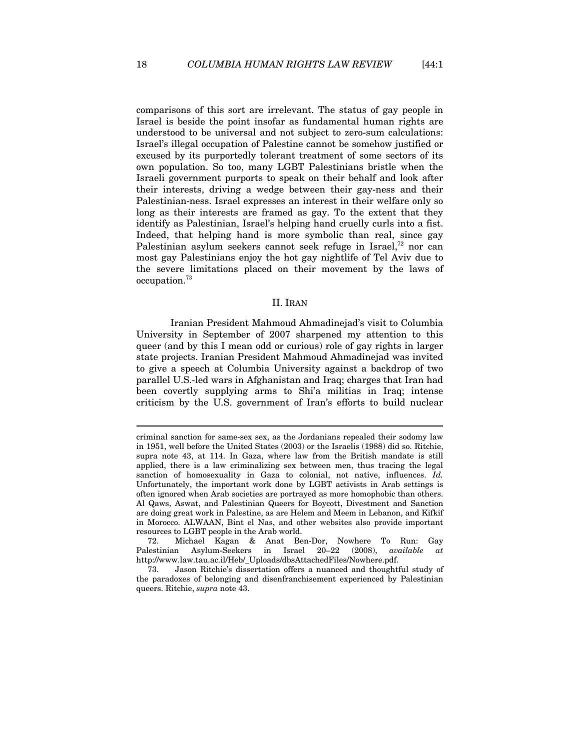comparisons of this sort are irrelevant. The status of gay people in Israel is beside the point insofar as fundamental human rights are understood to be universal and not subject to zero-sum calculations: Israel's illegal occupation of Palestine cannot be somehow justified or excused by its purportedly tolerant treatment of some sectors of its own population. So too, many LGBT Palestinians bristle when the Israeli government purports to speak on their behalf and look after their interests, driving a wedge between their gay-ness and their Palestinian-ness. Israel expresses an interest in their welfare only so long as their interests are framed as gay. To the extent that they identify as Palestinian, Israel's helping hand cruelly curls into a fist. Indeed, that helping hand is more symbolic than real, since gay Palestinian asylum seekers cannot seek refuge in Israel, $^{72}$  nor can most gay Palestinians enjoy the hot gay nightlife of Tel Aviv due to the severe limitations placed on their movement by the laws of occupation.73

#### II. IRAN

Iranian President Mahmoud Ahmadinejad's visit to Columbia University in September of 2007 sharpened my attention to this queer (and by this I mean odd or curious) role of gay rights in larger state projects. Iranian President Mahmoud Ahmadinejad was invited to give a speech at Columbia University against a backdrop of two parallel U.S.-led wars in Afghanistan and Iraq; charges that Iran had been covertly supplying arms to Shi'a militias in Iraq; intense criticism by the U.S. government of Iran's efforts to build nuclear

criminal sanction for same-sex sex, as the Jordanians repealed their sodomy law in 1951, well before the United States (2003) or the Israelis (1988) did so. Ritchie, supra note 43, at 114. In Gaza, where law from the British mandate is still applied, there is a law criminalizing sex between men, thus tracing the legal sanction of homosexuality in Gaza to colonial, not native, influences. *Id.* Unfortunately, the important work done by LGBT activists in Arab settings is often ignored when Arab societies are portrayed as more homophobic than others. Al Qaws, Aswat, and Palestinian Queers for Boycott, Divestment and Sanction are doing great work in Palestine, as are Helem and Meem in Lebanon, and Kifkif in Morocco. ALWAAN, Bint el Nas, and other websites also provide important resources to LGBT people in the Arab world.

<sup>72.</sup> Michael Kagan & Anat Ben-Dor, Nowhere To Run: Gay Palestinian Asylum-Seekers in Israel 20–22 (2008), *available at* http://www.law.tau.ac.il/Heb/\_Uploads/dbsAttachedFiles/Nowhere.pdf.

<sup>73.</sup> Jason Ritchie's dissertation offers a nuanced and thoughtful study of the paradoxes of belonging and disenfranchisement experienced by Palestinian queers. Ritchie, *supra* note 43.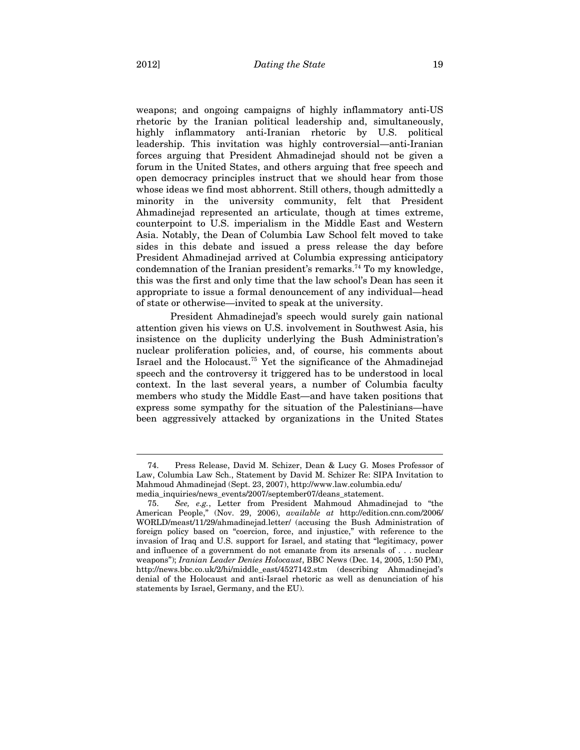weapons; and ongoing campaigns of highly inflammatory anti-US rhetoric by the Iranian political leadership and, simultaneously, highly inflammatory anti-Iranian rhetoric by U.S. political leadership. This invitation was highly controversial—anti-Iranian forces arguing that President Ahmadinejad should not be given a forum in the United States, and others arguing that free speech and open democracy principles instruct that we should hear from those whose ideas we find most abhorrent. Still others, though admittedly a minority in the university community, felt that President Ahmadinejad represented an articulate, though at times extreme, counterpoint to U.S. imperialism in the Middle East and Western Asia. Notably, the Dean of Columbia Law School felt moved to take sides in this debate and issued a press release the day before President Ahmadinejad arrived at Columbia expressing anticipatory condemnation of the Iranian president's remarks.<sup>74</sup> To my knowledge, this was the first and only time that the law school's Dean has seen it appropriate to issue a formal denouncement of any individual—head of state or otherwise—invited to speak at the university.

President Ahmadinejad's speech would surely gain national attention given his views on U.S. involvement in Southwest Asia, his insistence on the duplicity underlying the Bush Administration's nuclear proliferation policies, and, of course, his comments about Israel and the Holocaust.75 Yet the significance of the Ahmadinejad speech and the controversy it triggered has to be understood in local context. In the last several years, a number of Columbia faculty members who study the Middle East—and have taken positions that express some sympathy for the situation of the Palestinians—have been aggressively attacked by organizations in the United States

<sup>74.</sup> Press Release, David M. Schizer, Dean & Lucy G. Moses Professor of Law, Columbia Law Sch., Statement by David M. Schizer Re: SIPA Invitation to Mahmoud Ahmadinejad (Sept. 23, 2007), http://www.law.columbia.edu/

media\_inquiries/news\_events/2007/september07/deans\_statement.<br>75. See, e.g., Letter from President Mahmoud Ahmad 75. *See, e.g.*, Letter from President Mahmoud Ahmadinejad to "the American People," (Nov. 29, 2006), *available at* http://edition.cnn.com/2006/ WORLD/meast/11/29/ahmadinejad.letter/ (accusing the Bush Administration of foreign policy based on "coercion, force, and injustice," with reference to the invasion of Iraq and U.S. support for Israel, and stating that "legitimacy, power and influence of a government do not emanate from its arsenals of . . . nuclear weapons"); *Iranian Leader Denies Holocaust*, BBC News (Dec. 14, 2005, 1:50 PM), http://news.bbc.co.uk/2/hi/middle\_east/4527142.stm (describing Ahmadinejad's denial of the Holocaust and anti-Israel rhetoric as well as denunciation of his statements by Israel, Germany, and the EU).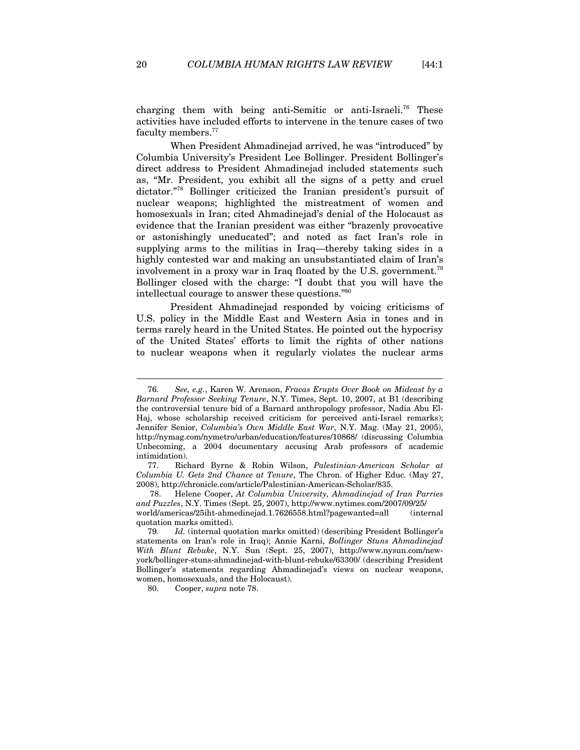charging them with being anti-Semitic or anti-Israeli.76 These activities have included efforts to intervene in the tenure cases of two faculty members.<sup>77</sup>

When President Ahmadinejad arrived, he was "introduced" by Columbia University's President Lee Bollinger. President Bollinger's direct address to President Ahmadinejad included statements such as, "Mr. President, you exhibit all the signs of a petty and cruel dictator."78 Bollinger criticized the Iranian president's pursuit of nuclear weapons; highlighted the mistreatment of women and homosexuals in Iran; cited Ahmadinejad's denial of the Holocaust as evidence that the Iranian president was either "brazenly provocative or astonishingly uneducated"; and noted as fact Iran's role in supplying arms to the militias in Iraq—thereby taking sides in a highly contested war and making an unsubstantiated claim of Iran's involvement in a proxy war in Iraq floated by the U.S. government.79 Bollinger closed with the charge: "I doubt that you will have the intellectual courage to answer these questions."80

President Ahmadinejad responded by voicing criticisms of U.S. policy in the Middle East and Western Asia in tones and in terms rarely heard in the United States. He pointed out the hypocrisy of the United States' efforts to limit the rights of other nations to nuclear weapons when it regularly violates the nuclear arms

quotation marks omitted).

<sup>76</sup>*. See, e.g.*, Karen W. Arenson, *Fracas Erupts Over Book on Mideast by a Barnard Professor Seeking Tenure*, N.Y. Times, Sept. 10, 2007, at B1 (describing the controversial tenure bid of a Barnard anthropology professor, Nadia Abu El-Haj, whose scholarship received criticism for perceived anti-Israel remarks); Jennifer Senior, *Columbia's Own Middle East War*, N.Y. Mag. (May 21, 2005), http://nymag.com/nymetro/urban/education/features/10868/ (discussing Columbia Unbecoming, a 2004 documentary accusing Arab professors of academic intimidation).

<sup>77.</sup> Richard Byrne & Robin Wilson, *Palestinian-American Scholar at Columbia U. Gets 2nd Chance at Tenure*, The Chron. of Higher Educ. (May 27, 2008), http://chronicle.com/article/Palestinian-American-Scholar/835.

 <sup>78.</sup> Helene Cooper, *At Columbia University, Ahmadinejad of Iran Parries and Puzzles*, N.Y. Times (Sept. 25, 2007), http://www.nytimes.com/2007/09/25/ world/americas/25iht-ahmedinejad.1.7626558.html?pagewanted=all (internal

<sup>79</sup>*. Id.* (internal quotation marks omitted) (describing President Bollinger's statements on Iran's role in Iraq); Annie Karni, *Bollinger Stuns Ahmadinejad With Blunt Rebuke*, N.Y. Sun (Sept. 25, 2007), http://www.nysun.com/newyork/bollinger-stuns-ahmadinejad-with-blunt-rebuke/63300/ (describing President Bollinger's statements regarding Ahmadinejad's views on nuclear weapons, women, homosexuals, and the Holocaust).

<sup>80.</sup> Cooper, *supra* note 78.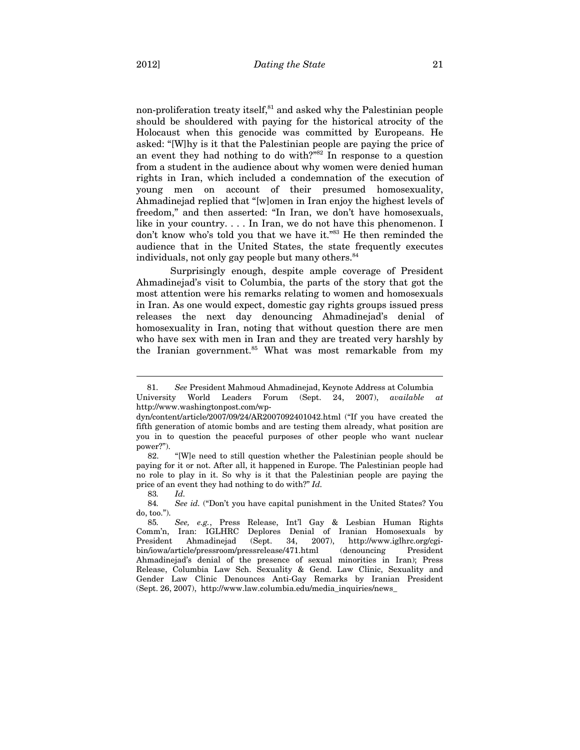non-proliferation treaty itself, $81$  and asked why the Palestinian people should be shouldered with paying for the historical atrocity of the Holocaust when this genocide was committed by Europeans. He asked: "[W]hy is it that the Palestinian people are paying the price of an event they had nothing to do with?"82 In response to a question from a student in the audience about why women were denied human rights in Iran, which included a condemnation of the execution of young men on account of their presumed homosexuality, Ahmadinejad replied that "[w]omen in Iran enjoy the highest levels of freedom," and then asserted: "In Iran, we don't have homosexuals, like in your country. . . . In Iran, we do not have this phenomenon. I don't know who's told you that we have it."<sup>83</sup> He then reminded the audience that in the United States, the state frequently executes individuals, not only gay people but many others.<sup>84</sup>

Surprisingly enough, despite ample coverage of President Ahmadinejad's visit to Columbia, the parts of the story that got the most attention were his remarks relating to women and homosexuals in Iran. As one would expect, domestic gay rights groups issued press releases the next day denouncing Ahmadinejad's denial of homosexuality in Iran, noting that without question there are men who have sex with men in Iran and they are treated very harshly by the Iranian government.<sup>85</sup> What was most remarkable from my

82. "[W]e need to still question whether the Palestinian people should be paying for it or not. After all, it happened in Europe. The Palestinian people had no role to play in it. So why is it that the Palestinian people are paying the price of an event they had nothing to do with?" *Id.*

83*. Id.*

 $\overline{a}$ 

84*. See id.* ("Don't you have capital punishment in the United States? You do, too.").

 <sup>81.</sup> *See* President Mahmoud Ahmadinejad, Keynote Address at Columbia University World Leaders Forum (Sept. 24, 2007), *available at*  http://www.washingtonpost.com/wp-

dyn/content/article/2007/09/24/AR2007092401042.html ("If you have created the fifth generation of atomic bombs and are testing them already, what position are you in to question the peaceful purposes of other people who want nuclear power?").

<sup>85</sup>*. See, e.g.*, Press Release, Int'l Gay & Lesbian Human Rights Comm'n, Iran: IGLHRC Deplores Denial of Iranian Homosexuals by<br>President Ahmadinejad (Sept. 34, 2007), http://www.iglhrc.org/cgi-President Ahmadinejad (Sept. 34, 2007), http://www.iglhrc.org/cgibin/iowa/article/pressroom/pressrelease/471.html (denouncing President Ahmadinejad's denial of the presence of sexual minorities in Iran); Press Release, Columbia Law Sch. Sexuality & Gend. Law Clinic, Sexuality and Gender Law Clinic Denounces Anti-Gay Remarks by Iranian President (Sept. 26, 2007), http://www.law.columbia.edu/media\_inquiries/news\_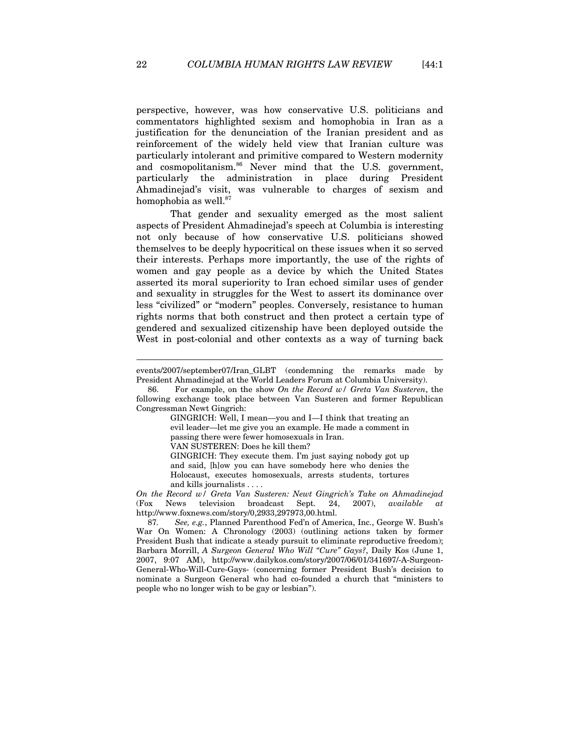perspective, however, was how conservative U.S. politicians and commentators highlighted sexism and homophobia in Iran as a justification for the denunciation of the Iranian president and as reinforcement of the widely held view that Iranian culture was particularly intolerant and primitive compared to Western modernity and cosmopolitanism.<sup>86</sup> Never mind that the U.S. government, particularly the administration in place during President Ahmadinejad's visit, was vulnerable to charges of sexism and homophobia as well.<sup>87</sup>

That gender and sexuality emerged as the most salient aspects of President Ahmadinejad's speech at Columbia is interesting not only because of how conservative U.S. politicians showed themselves to be deeply hypocritical on these issues when it so served their interests. Perhaps more importantly, the use of the rights of women and gay people as a device by which the United States asserted its moral superiority to Iran echoed similar uses of gender and sexuality in struggles for the West to assert its dominance over less "civilized" or "modern" peoples. Conversely, resistance to human rights norms that both construct and then protect a certain type of gendered and sexualized citizenship have been deployed outside the West in post-colonial and other contexts as a way of turning back

GINGRICH: Well, I mean—you and I—I think that treating an evil leader—let me give you an example. He made a comment in passing there were fewer homosexuals in Iran.

VAN SUSTEREN: Does he kill them?

GINGRICH: They execute them. I'm just saying nobody got up and said, [h]ow you can have somebody here who denies the Holocaust, executes homosexuals, arrests students, tortures and kills journalists . . . .

*On the Record w/ Greta Van Susteren: Newt Gingrich's Take on Ahmadinejad* (Fox News television broadcast Sept. 24, 2007), *available at*  http://www.foxnews.com/story/0,2933,297973,00.html.

87*. See, e.g.*, Planned Parenthood Fed'n of America, Inc., George W. Bush's War On Women: A Chronology (2003) (outlining actions taken by former President Bush that indicate a steady pursuit to eliminate reproductive freedom); Barbara Morrill, *A Surgeon General Who Will "Cure" Gays?*, Daily Kos (June 1, 2007, 9:07 AM), http://www.dailykos.com/story/2007/06/01/341697/-A-Surgeon-General-Who-Will-Cure-Gays- (concerning former President Bush's decision to nominate a Surgeon General who had co-founded a church that "ministers to people who no longer wish to be gay or lesbian").

events/2007/september07/Iran\_GLBT (condemning the remarks made by President Ahmadinejad at the World Leaders Forum at Columbia University).

<sup>86.</sup> For example, on the show *On the Record w/ Greta Van Susteren*, the following exchange took place between Van Susteren and former Republican Congressman Newt Gingrich: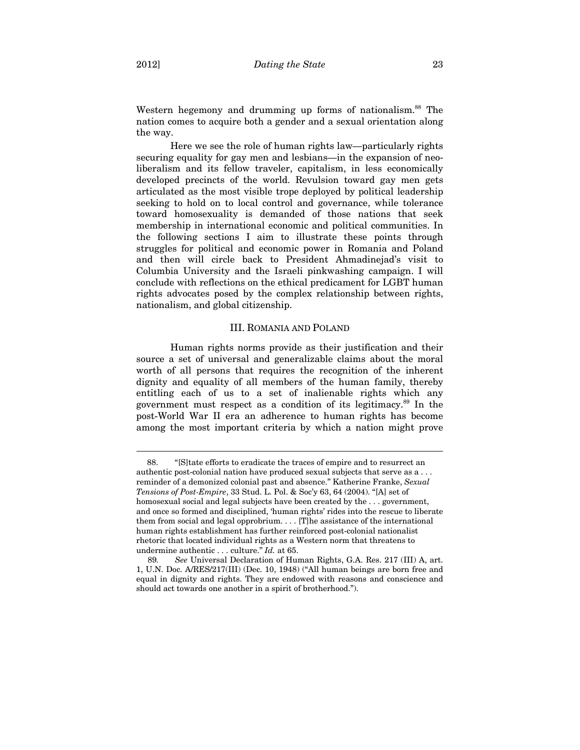Western hegemony and drumming up forms of nationalism.<sup>88</sup> The nation comes to acquire both a gender and a sexual orientation along the way.

Here we see the role of human rights law—particularly rights securing equality for gay men and lesbians—in the expansion of neoliberalism and its fellow traveler, capitalism, in less economically developed precincts of the world. Revulsion toward gay men gets articulated as the most visible trope deployed by political leadership seeking to hold on to local control and governance, while tolerance toward homosexuality is demanded of those nations that seek membership in international economic and political communities. In the following sections I aim to illustrate these points through struggles for political and economic power in Romania and Poland and then will circle back to President Ahmadinejad's visit to Columbia University and the Israeli pinkwashing campaign. I will conclude with reflections on the ethical predicament for LGBT human rights advocates posed by the complex relationship between rights, nationalism, and global citizenship.

#### III. ROMANIA AND POLAND

Human rights norms provide as their justification and their source a set of universal and generalizable claims about the moral worth of all persons that requires the recognition of the inherent dignity and equality of all members of the human family, thereby entitling each of us to a set of inalienable rights which any government must respect as a condition of its legitimacy.89 In the post-World War II era an adherence to human rights has become among the most important criteria by which a nation might prove

 <sup>88. &</sup>quot;[S]tate efforts to eradicate the traces of empire and to resurrect an authentic post-colonial nation have produced sexual subjects that serve as a . . . reminder of a demonized colonial past and absence." Katherine Franke, *Sexual Tensions of Post-Empire*, 33 Stud. L. Pol. & Soc'y 63, 64 (2004). "[A] set of homosexual social and legal subjects have been created by the . . . government, and once so formed and disciplined, 'human rights' rides into the rescue to liberate them from social and legal opprobrium. . . . [T]he assistance of the international human rights establishment has further reinforced post-colonial nationalist rhetoric that located individual rights as a Western norm that threatens to undermine authentic . . . culture." *Id.* at 65.

<sup>89</sup>*. See* Universal Declaration of Human Rights, G.A. Res. 217 (III) A, art. 1, U.N. Doc. A/RES/217(III) (Dec. 10, 1948) ("All human beings are born free and equal in dignity and rights. They are endowed with reasons and conscience and should act towards one another in a spirit of brotherhood.").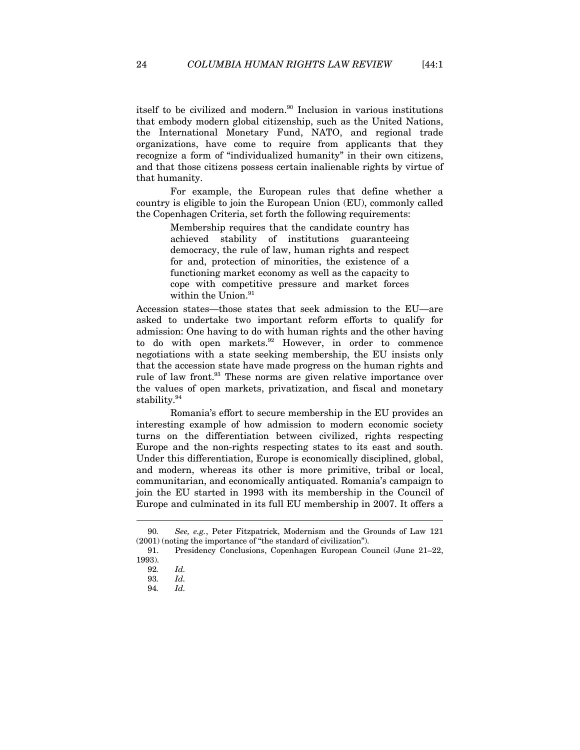itself to be civilized and modern.<sup>90</sup> Inclusion in various institutions that embody modern global citizenship, such as the United Nations, the International Monetary Fund, NATO, and regional trade organizations, have come to require from applicants that they recognize a form of "individualized humanity" in their own citizens, and that those citizens possess certain inalienable rights by virtue of that humanity.

For example, the European rules that define whether a country is eligible to join the European Union (EU), commonly called the Copenhagen Criteria, set forth the following requirements:

> Membership requires that the candidate country has achieved stability of institutions guaranteeing democracy, the rule of law, human rights and respect for and, protection of minorities, the existence of a functioning market economy as well as the capacity to cope with competitive pressure and market forces within the Union.<sup>91</sup>

Accession states—those states that seek admission to the EU—are asked to undertake two important reform efforts to qualify for admission: One having to do with human rights and the other having to do with open markets.<sup>92</sup> However, in order to commence negotiations with a state seeking membership, the EU insists only that the accession state have made progress on the human rights and rule of law front.<sup>93</sup> These norms are given relative importance over the values of open markets, privatization, and fiscal and monetary stability.94

Romania's effort to secure membership in the EU provides an interesting example of how admission to modern economic society turns on the differentiation between civilized, rights respecting Europe and the non-rights respecting states to its east and south. Under this differentiation, Europe is economically disciplined, global, and modern, whereas its other is more primitive, tribal or local, communitarian, and economically antiquated. Romania's campaign to join the EU started in 1993 with its membership in the Council of Europe and culminated in its full EU membership in 2007. It offers a

<sup>90</sup>*. See, e.g.*, Peter Fitzpatrick, Modernism and the Grounds of Law 121 (2001) (noting the importance of "the standard of civilization").

<sup>91.</sup> Presidency Conclusions, Copenhagen European Council (June 21–22, 1993).

<sup>92</sup>*. Id.* 

<sup>93</sup>*. Id.* 

<sup>94</sup>*. Id.*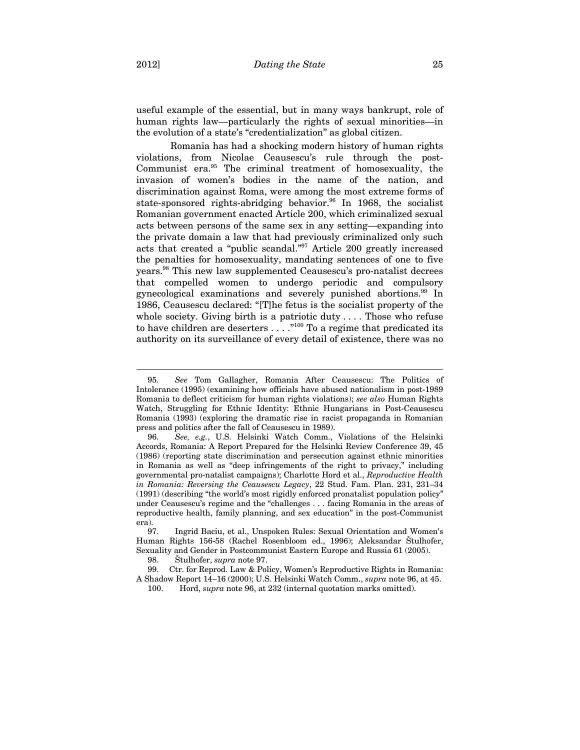useful example of the essential, but in many ways bankrupt, role of human rights law—particularly the rights of sexual minorities—in the evolution of a state's "credentialization" as global citizen.

Romania has had a shocking modern history of human rights violations, from Nicolae Ceausescu's rule through the post-Communist era.95 The criminal treatment of homosexuality, the invasion of women's bodies in the name of the nation, and discrimination against Roma, were among the most extreme forms of state-sponsored rights-abridging behavior.<sup>96</sup> In 1968, the socialist Romanian government enacted Article 200, which criminalized sexual acts between persons of the same sex in any setting—expanding into the private domain a law that had previously criminalized only such acts that created a "public scandal."97 Article 200 greatly increased the penalties for homosexuality, mandating sentences of one to five years.98 This new law supplemented Ceausescu's pro-natalist decrees that compelled women to undergo periodic and compulsory gynecological examinations and severely punished abortions.99 In 1986, Ceausescu declared: "[T]he fetus is the socialist property of the whole society. Giving birth is a patriotic duty  $\dots$ . Those who refuse to have children are deserters . . . . "<sup>100</sup> To a regime that predicated its authority on its surveillance of every detail of existence, there was no

<sup>95</sup>*. See* Tom Gallagher, Romania After Ceausescu: The Politics of Intolerance (1995) (examining how officials have abused nationalism in post-1989 Romania to deflect criticism for human rights violations); *see also* Human Rights Watch, Struggling for Ethnic Identity: Ethnic Hungarians in Post-Ceausescu Romania (1993) (exploring the dramatic rise in racist propaganda in Romanian press and politics after the fall of Ceausescu in 1989).

<sup>96.</sup> *See, e.g.*, U.S. Helsinki Watch Comm., Violations of the Helsinki Accords, Romania: A Report Prepared for the Helsinki Review Conference 39, 45 (1986) (reporting state discrimination and persecution against ethnic minorities in Romania as well as "deep infringements of the right to privacy," including governmental pro-natalist campaigns); Charlotte Hord et al., *Reproductive Health in Romania: Reversing the Ceausescu Legacy*, 22 Stud. Fam. Plan. 231, 231–34 (1991) (describing "the world's most rigidly enforced pronatalist population policy" under Ceausescu's regime and the "challenges . . . facing Romania in the areas of reproductive health, family planning, and sex education" in the post-Communist era).

<sup>97.</sup> Ingrid Baciu, et al., Unspoken Rules: Sexual Orientation and Women's Human Rights 156-58 (Rachel Rosenbloom ed., 1996); Aleksandar Štulhofer, Sexuality and Gender in Postcommunist Eastern Europe and Russia 61 (2005).

<sup>98.</sup> Štulhofer, *supra* note 97.

<sup>99.</sup> Ctr. for Reprod. Law & Policy, Women's Reproductive Rights in Romania: A Shadow Report 14–16 (2000); U.S. Helsinki Watch Comm., *supra* note 96, at 45. 100. Hord, *supra* note 96, at 232 (internal quotation marks omitted).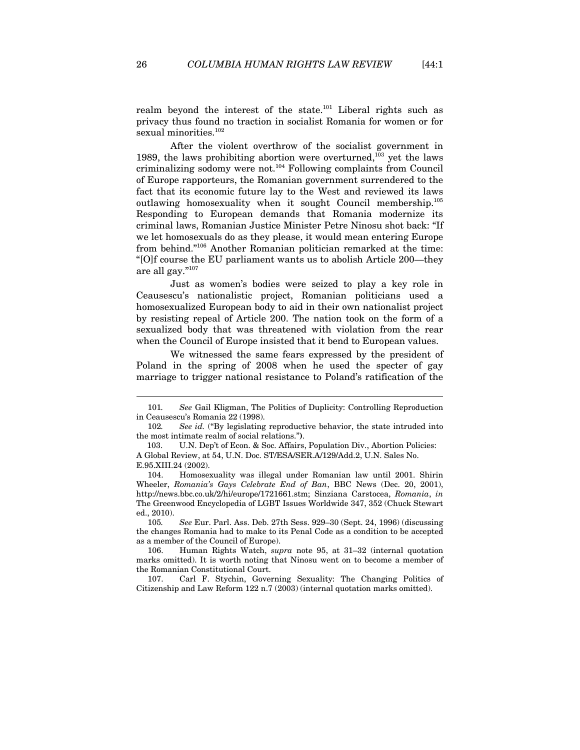realm beyond the interest of the state.101 Liberal rights such as privacy thus found no traction in socialist Romania for women or for sexual minorities.<sup>102</sup>

After the violent overthrow of the socialist government in 1989, the laws prohibiting abortion were overturned, $103$  yet the laws criminalizing sodomy were not.104 Following complaints from Council of Europe rapporteurs, the Romanian government surrendered to the fact that its economic future lay to the West and reviewed its laws outlawing homosexuality when it sought Council membership.105 Responding to European demands that Romania modernize its criminal laws, Romanian Justice Minister Petre Ninosu shot back: "If we let homosexuals do as they please, it would mean entering Europe from behind."106 Another Romanian politician remarked at the time: "[O]f course the EU parliament wants us to abolish Article 200—they are all gay."107

Just as women's bodies were seized to play a key role in Ceausescu's nationalistic project, Romanian politicians used a homosexualized European body to aid in their own nationalist project by resisting repeal of Article 200. The nation took on the form of a sexualized body that was threatened with violation from the rear when the Council of Europe insisted that it bend to European values.

We witnessed the same fears expressed by the president of Poland in the spring of 2008 when he used the specter of gay marriage to trigger national resistance to Poland's ratification of the

105*. See* Eur. Parl. Ass. Deb. 27th Sess. 929–30 (Sept. 24, 1996) (discussing the changes Romania had to make to its Penal Code as a condition to be accepted as a member of the Council of Europe).

106. Human Rights Watch, *supra* note 95, at 31–32 (internal quotation marks omitted). It is worth noting that Ninosu went on to become a member of the Romanian Constitutional Court.

107. Carl F. Stychin, Governing Sexuality: The Changing Politics of Citizenship and Law Reform 122 n.7 (2003) (internal quotation marks omitted).

<sup>101</sup>*. See* Gail Kligman, The Politics of Duplicity: Controlling Reproduction in Ceausescu's Romania 22 (1998).

<sup>102</sup>*. See id.* ("By legislating reproductive behavior, the state intruded into the most intimate realm of social relations."**)**.

 <sup>103.</sup> U.N. Dep't of Econ. & Soc. Affairs, Population Div., Abortion Policies: A Global Review, at 54, U.N. Doc. ST/ESA/SER.A/129/Add.2, U.N. Sales No. E.95.XIII.24 (2002).

<sup>104.</sup> Homosexuality was illegal under Romanian law until 2001. Shirin Wheeler, *Romania's Gays Celebrate End of Ban*, BBC News (Dec. 20, 2001), http://news.bbc.co.uk/2/hi/europe/1721661.stm; Sinziana Carstocea, *Romania*, *in*  The Greenwood Encyclopedia of LGBT Issues Worldwide 347, 352 (Chuck Stewart ed., 2010).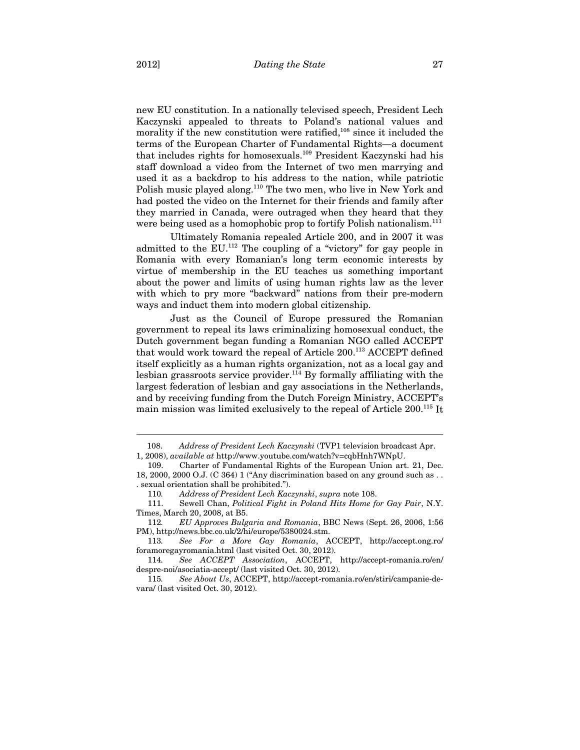new EU constitution. In a nationally televised speech, President Lech Kaczynski appealed to threats to Poland's national values and morality if the new constitution were ratified, $108$  since it included the terms of the European Charter of Fundamental Rights—a document that includes rights for homosexuals.109 President Kaczynski had his staff download a video from the Internet of two men marrying and used it as a backdrop to his address to the nation, while patriotic Polish music played along.<sup>110</sup> The two men, who live in New York and had posted the video on the Internet for their friends and family after they married in Canada, were outraged when they heard that they were being used as a homophobic prop to fortify Polish nationalism.<sup>111</sup>

Ultimately Romania repealed Article 200, and in 2007 it was admitted to the EU. $^{112}$  The coupling of a "victory" for gay people in Romania with every Romanian's long term economic interests by virtue of membership in the EU teaches us something important about the power and limits of using human rights law as the lever with which to pry more "backward" nations from their pre-modern ways and induct them into modern global citizenship.

Just as the Council of Europe pressured the Romanian government to repeal its laws criminalizing homosexual conduct, the Dutch government began funding a Romanian NGO called ACCEPT that would work toward the repeal of Article 200.<sup>113</sup> ACCEPT defined itself explicitly as a human rights organization, not as a local gay and lesbian grassroots service provider.<sup>114</sup> By formally affiliating with the largest federation of lesbian and gay associations in the Netherlands, and by receiving funding from the Dutch Foreign Ministry, ACCEPT's main mission was limited exclusively to the repeal of Article 200.115 It

 <sup>108.</sup> *Address of President Lech Kaczynski* (TVP1 television broadcast Apr. 1, 2008), *available at* http://www.youtube.com/watch?v=cqbHnh7WNpU.

<sup>109.</sup> Charter of Fundamental Rights of the European Union art. 21, Dec. 18, 2000, 2000 O.J. (C 364) 1 ("Any discrimination based on any ground such as . . . sexual orientation shall be prohibited.").

<sup>110</sup>*. Address of President Lech Kaczynski*, *supra* note 108.

Sewell Chan, *Political Fight in Poland Hits Home for Gay Pair*, N.Y. Times, March 20, 2008, at B5.

<sup>112</sup>*. EU Approves Bulgaria and Romania*, BBC News (Sept. 26, 2006, 1:56 PM), http://news.bbc.co.uk/2/hi/europe/5380024.stm.

<sup>113</sup>*. See For a More Gay Romania*, ACCEPT, http://accept.ong.ro/ foramoregayromania.html (last visited Oct. 30, 2012).

<sup>114</sup>*. See ACCEPT Association*, ACCEPT, http://accept-romania.ro/en/ despre-noi/asociatia-accept/ (last visited Oct. 30, 2012).

<sup>115</sup>*. See About Us*, ACCEPT, http://accept-romania.ro/en/stiri/campanie-devara/ (last visited Oct. 30, 2012).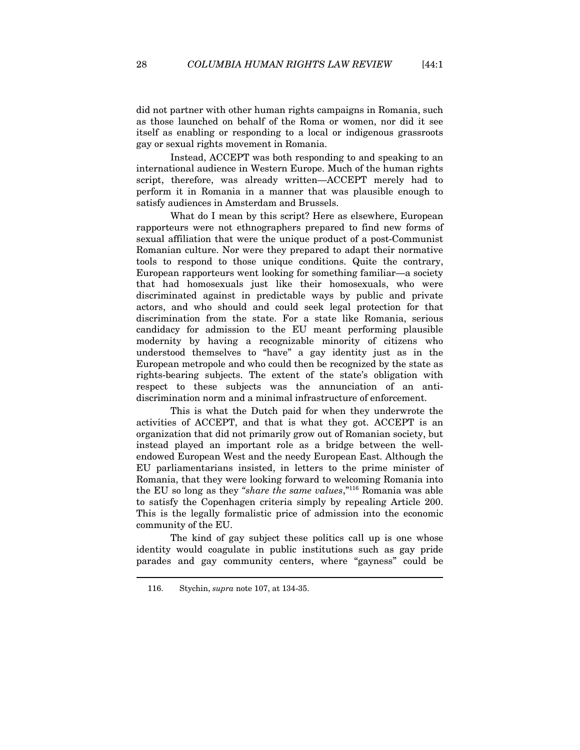did not partner with other human rights campaigns in Romania, such as those launched on behalf of the Roma or women, nor did it see itself as enabling or responding to a local or indigenous grassroots gay or sexual rights movement in Romania.

Instead, ACCEPT was both responding to and speaking to an international audience in Western Europe. Much of the human rights script, therefore, was already written—ACCEPT merely had to perform it in Romania in a manner that was plausible enough to satisfy audiences in Amsterdam and Brussels.

What do I mean by this script? Here as elsewhere, European rapporteurs were not ethnographers prepared to find new forms of sexual affiliation that were the unique product of a post-Communist Romanian culture. Nor were they prepared to adapt their normative tools to respond to those unique conditions. Quite the contrary, European rapporteurs went looking for something familiar—a society that had homosexuals just like their homosexuals, who were discriminated against in predictable ways by public and private actors, and who should and could seek legal protection for that discrimination from the state. For a state like Romania, serious candidacy for admission to the EU meant performing plausible modernity by having a recognizable minority of citizens who understood themselves to "have" a gay identity just as in the European metropole and who could then be recognized by the state as rights-bearing subjects. The extent of the state's obligation with respect to these subjects was the annunciation of an antidiscrimination norm and a minimal infrastructure of enforcement.

This is what the Dutch paid for when they underwrote the activities of ACCEPT, and that is what they got. ACCEPT is an organization that did not primarily grow out of Romanian society, but instead played an important role as a bridge between the wellendowed European West and the needy European East. Although the EU parliamentarians insisted, in letters to the prime minister of Romania, that they were looking forward to welcoming Romania into the EU so long as they *"share the same values*,"116 Romania was able to satisfy the Copenhagen criteria simply by repealing Article 200. This is the legally formalistic price of admission into the economic community of the EU.

The kind of gay subject these politics call up is one whose identity would coagulate in public institutions such as gay pride parades and gay community centers, where "gayness" could be

<sup>116.</sup> Stychin, *supra* note 107, at 134-35.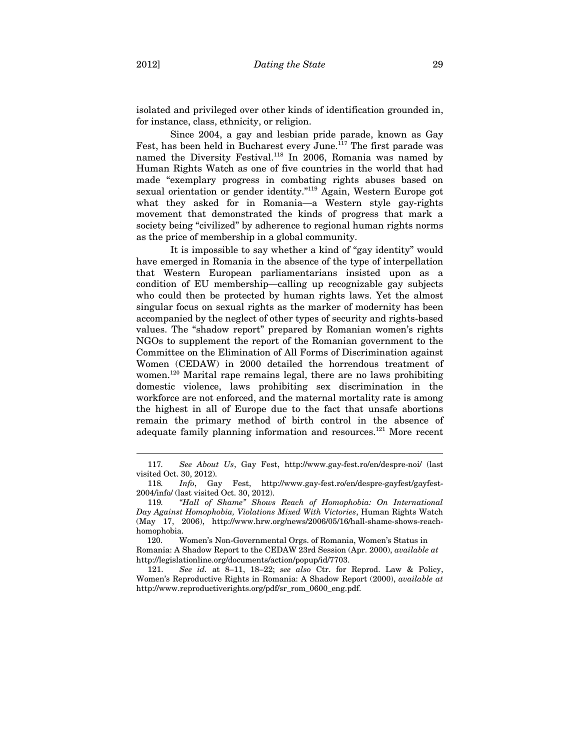isolated and privileged over other kinds of identification grounded in, for instance, class, ethnicity, or religion.

Since 2004, a gay and lesbian pride parade, known as Gay Fest, has been held in Bucharest every June.<sup>117</sup> The first parade was named the Diversity Festival.118 In 2006, Romania was named by Human Rights Watch as one of five countries in the world that had made "exemplary progress in combating rights abuses based on sexual orientation or gender identity."119 Again, Western Europe got what they asked for in Romania—a Western style gay-rights movement that demonstrated the kinds of progress that mark a society being "civilized" by adherence to regional human rights norms as the price of membership in a global community.

It is impossible to say whether a kind of "gay identity" would have emerged in Romania in the absence of the type of interpellation that Western European parliamentarians insisted upon as a condition of EU membership—calling up recognizable gay subjects who could then be protected by human rights laws. Yet the almost singular focus on sexual rights as the marker of modernity has been accompanied by the neglect of other types of security and rights-based values. The "shadow report" prepared by Romanian women's rights NGOs to supplement the report of the Romanian government to the Committee on the Elimination of All Forms of Discrimination against Women (CEDAW) in 2000 detailed the horrendous treatment of women.<sup>120</sup> Marital rape remains legal, there are no laws prohibiting domestic violence, laws prohibiting sex discrimination in the workforce are not enforced, and the maternal mortality rate is among the highest in all of Europe due to the fact that unsafe abortions remain the primary method of birth control in the absence of adequate family planning information and resources.121 More recent

<sup>117</sup>*. See About Us*, Gay Fest, http://www.gay-fest.ro/en/despre-noi/ (last visited Oct. 30, 2012).

<sup>118</sup>*. Info*, Gay Fest, http://www.gay-fest.ro/en/despre-gayfest/gayfest-2004/info/ (last visited Oct. 30, 2012).

<sup>119</sup>*. "Hall of Shame" Shows Reach of Homophobia: On International Day Against Homophobia, Violations Mixed With Victories*, Human Rights Watch (May 17, 2006), http://www.hrw.org/news/2006/05/16/hall-shame-shows-reachhomophobia.

 <sup>120.</sup> Women's Non-Governmental Orgs. of Romania, Women's Status in Romania: A Shadow Report to the CEDAW 23rd Session (Apr. 2000), *available at*  http://legislationline.org/documents/action/popup/id/7703.

<sup>121.</sup> *See id.* at 8–11, 18–22; *see also* Ctr. for Reprod. Law & Policy, Women's Reproductive Rights in Romania: A Shadow Report (2000), *available at*  http://www.reproductiverights.org/pdf/sr\_rom\_0600\_eng.pdf.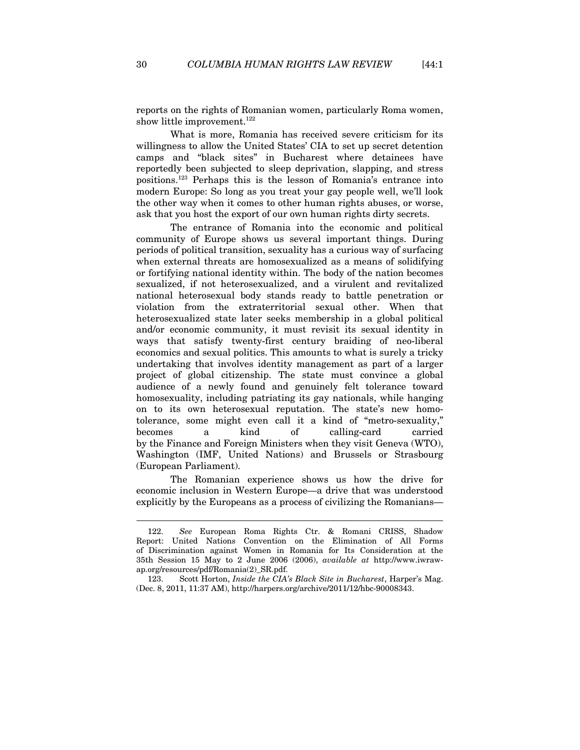reports on the rights of Romanian women, particularly Roma women, show little improvement.<sup>122</sup>

What is more, Romania has received severe criticism for its willingness to allow the United States' CIA to set up secret detention camps and "black sites" in Bucharest where detainees have reportedly been subjected to sleep deprivation, slapping, and stress positions.123 Perhaps this is the lesson of Romania's entrance into modern Europe: So long as you treat your gay people well, we'll look the other way when it comes to other human rights abuses, or worse, ask that you host the export of our own human rights dirty secrets.

The entrance of Romania into the economic and political community of Europe shows us several important things. During periods of political transition, sexuality has a curious way of surfacing when external threats are homosexualized as a means of solidifying or fortifying national identity within. The body of the nation becomes sexualized, if not heterosexualized, and a virulent and revitalized national heterosexual body stands ready to battle penetration or violation from the extraterritorial sexual other. When that heterosexualized state later seeks membership in a global political and/or economic community, it must revisit its sexual identity in ways that satisfy twenty-first century braiding of neo-liberal economics and sexual politics. This amounts to what is surely a tricky undertaking that involves identity management as part of a larger project of global citizenship. The state must convince a global audience of a newly found and genuinely felt tolerance toward homosexuality, including patriating its gay nationals, while hanging on to its own heterosexual reputation. The state's new homotolerance, some might even call it a kind of "metro-sexuality," becomes a kind of calling-card carried by the Finance and Foreign Ministers when they visit Geneva (WTO), Washington (IMF, United Nations) and Brussels or Strasbourg (European Parliament).

The Romanian experience shows us how the drive for economic inclusion in Western Europe—a drive that was understood explicitly by the Europeans as a process of civilizing the Romanians—

<sup>122.</sup> *See* European Roma Rights Ctr. & Romani CRISS, Shadow Report: United Nations Convention on the Elimination of All Forms of Discrimination against Women in Romania for Its Consideration at the 35th Session 15 May to 2 June 2006 (2006), *available at* http://www.iwrawap.org/resources/pdf/Romania(2)\_SR.pdf.

<sup>123.</sup> Scott Horton, *Inside the CIA's Black Site in Bucharest*, Harper's Mag. (Dec. 8, 2011, 11:37 AM), http://harpers.org/archive/2011/12/hbc-90008343.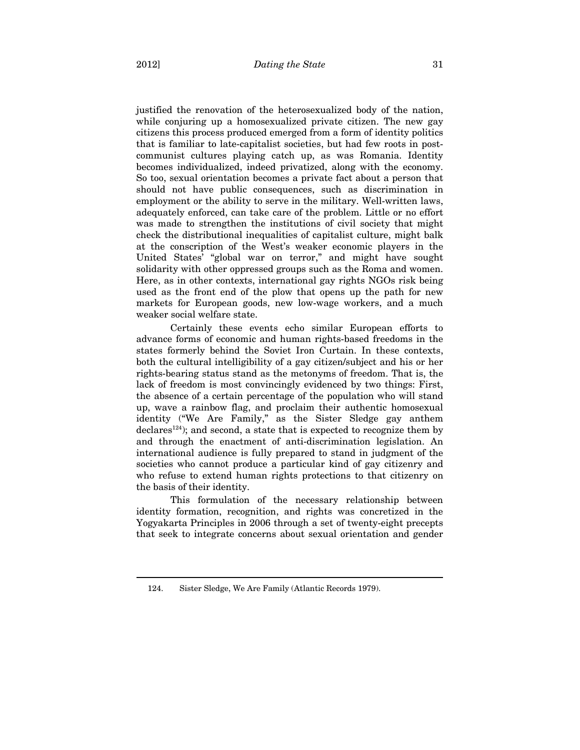justified the renovation of the heterosexualized body of the nation, while conjuring up a homosexualized private citizen. The new gay citizens this process produced emerged from a form of identity politics that is familiar to late-capitalist societies, but had few roots in postcommunist cultures playing catch up, as was Romania. Identity becomes individualized, indeed privatized, along with the economy. So too, sexual orientation becomes a private fact about a person that should not have public consequences, such as discrimination in employment or the ability to serve in the military. Well-written laws, adequately enforced, can take care of the problem. Little or no effort was made to strengthen the institutions of civil society that might check the distributional inequalities of capitalist culture, might balk at the conscription of the West's weaker economic players in the United States' "global war on terror," and might have sought solidarity with other oppressed groups such as the Roma and women. Here, as in other contexts, international gay rights NGOs risk being used as the front end of the plow that opens up the path for new markets for European goods, new low-wage workers, and a much weaker social welfare state.

Certainly these events echo similar European efforts to advance forms of economic and human rights-based freedoms in the states formerly behind the Soviet Iron Curtain. In these contexts, both the cultural intelligibility of a gay citizen/subject and his or her rights-bearing status stand as the metonyms of freedom. That is, the lack of freedom is most convincingly evidenced by two things: First, the absence of a certain percentage of the population who will stand up, wave a rainbow flag, and proclaim their authentic homosexual identity ("We Are Family," as the Sister Sledge gay anthem declares<sup>124</sup>); and second, a state that is expected to recognize them by and through the enactment of anti-discrimination legislation. An international audience is fully prepared to stand in judgment of the societies who cannot produce a particular kind of gay citizenry and who refuse to extend human rights protections to that citizenry on the basis of their identity.

This formulation of the necessary relationship between identity formation, recognition, and rights was concretized in the Yogyakarta Principles in 2006 through a set of twenty-eight precepts that seek to integrate concerns about sexual orientation and gender

<sup>124.</sup> Sister Sledge, We Are Family (Atlantic Records 1979).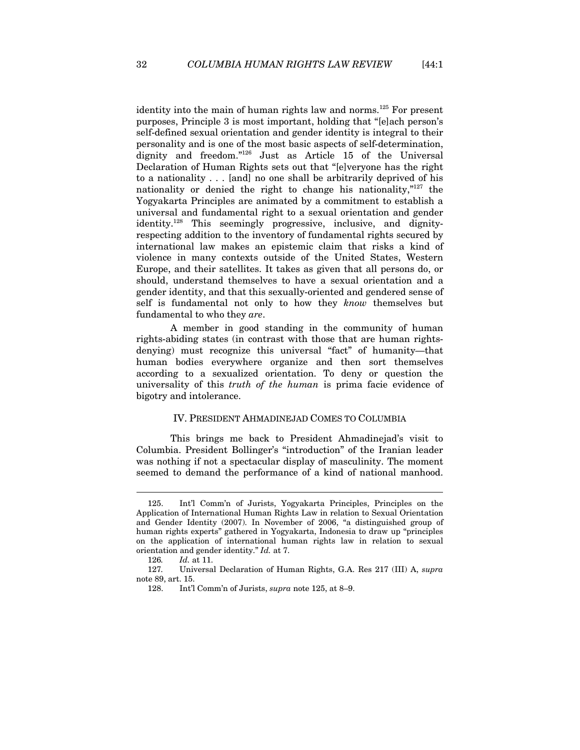identity into the main of human rights law and norms.<sup>125</sup> For present purposes, Principle 3 is most important, holding that "[e]ach person's self-defined sexual orientation and gender identity is integral to their personality and is one of the most basic aspects of self-determination, dignity and freedom."126 Just as Article 15 of the Universal Declaration of Human Rights sets out that "[e]veryone has the right to a nationality . . . [and] no one shall be arbitrarily deprived of his nationality or denied the right to change his nationality,"127 the Yogyakarta Principles are animated by a commitment to establish a universal and fundamental right to a sexual orientation and gender identity.<sup>128</sup> This seemingly progressive, inclusive, and dignityrespecting addition to the inventory of fundamental rights secured by international law makes an epistemic claim that risks a kind of violence in many contexts outside of the United States, Western Europe, and their satellites. It takes as given that all persons do, or should, understand themselves to have a sexual orientation and a gender identity, and that this sexually-oriented and gendered sense of self is fundamental not only to how they *know* themselves but fundamental to who they *are*.

A member in good standing in the community of human rights-abiding states (in contrast with those that are human rightsdenying) must recognize this universal "fact" of humanity—that human bodies everywhere organize and then sort themselves according to a sexualized orientation. To deny or question the universality of this *truth of the human* is prima facie evidence of bigotry and intolerance.

#### IV. PRESIDENT AHMADINEJAD COMES TO COLUMBIA

This brings me back to President Ahmadinejad's visit to Columbia. President Bollinger's "introduction" of the Iranian leader was nothing if not a spectacular display of masculinity. The moment seemed to demand the performance of a kind of national manhood.

<sup>125.</sup> Int'l Comm'n of Jurists, Yogyakarta Principles, Principles on the Application of International Human Rights Law in relation to Sexual Orientation and Gender Identity (2007). In November of 2006, "a distinguished group of human rights experts" gathered in Yogyakarta, Indonesia to draw up "principles on the application of international human rights law in relation to sexual orientation and gender identity." *Id.* at 7.

<sup>126</sup>*. Id.* at 11.

<sup>127</sup>*.* Universal Declaration of Human Rights, G.A. Res 217 (III) A, *supra* note 89, art. 15.

<sup>128.</sup> Int'l Comm'n of Jurists, *supra* note 125, at 8–9.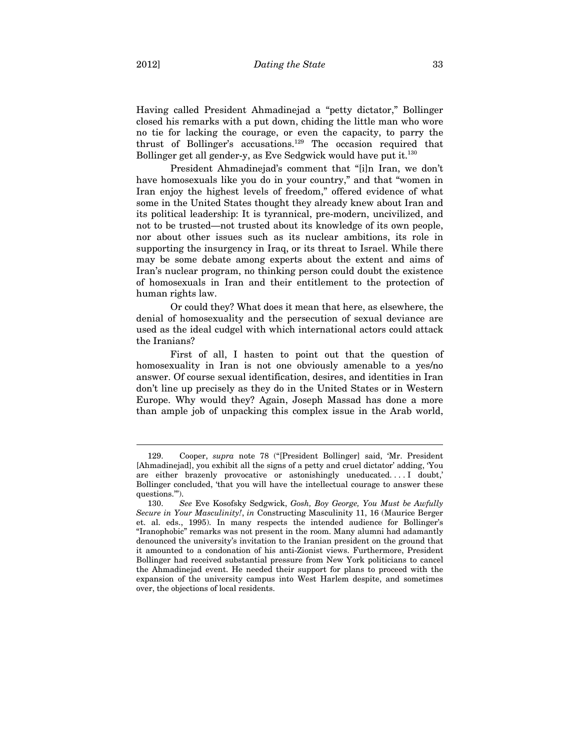Having called President Ahmadinejad a "petty dictator," Bollinger closed his remarks with a put down, chiding the little man who wore no tie for lacking the courage, or even the capacity, to parry the thrust of Bollinger's accusations.129 The occasion required that Bollinger get all gender-y, as Eve Sedgwick would have put it.<sup>130</sup>

President Ahmadinejad's comment that "[i]n Iran, we don't have homosexuals like you do in your country," and that "women in Iran enjoy the highest levels of freedom," offered evidence of what some in the United States thought they already knew about Iran and its political leadership: It is tyrannical, pre-modern, uncivilized, and not to be trusted—not trusted about its knowledge of its own people, nor about other issues such as its nuclear ambitions, its role in supporting the insurgency in Iraq, or its threat to Israel. While there may be some debate among experts about the extent and aims of Iran's nuclear program, no thinking person could doubt the existence of homosexuals in Iran and their entitlement to the protection of human rights law.

Or could they? What does it mean that here, as elsewhere, the denial of homosexuality and the persecution of sexual deviance are used as the ideal cudgel with which international actors could attack the Iranians?

First of all, I hasten to point out that the question of homosexuality in Iran is not one obviously amenable to a yes/no answer. Of course sexual identification, desires, and identities in Iran don't line up precisely as they do in the United States or in Western Europe. Why would they? Again, Joseph Massad has done a more than ample job of unpacking this complex issue in the Arab world,

<sup>129.</sup> Cooper, *supra* note 78 ("[President Bollinger] said, 'Mr. President [Ahmadinejad], you exhibit all the signs of a petty and cruel dictator' adding, 'You are either brazenly provocative or astonishingly uneducated. . . . I doubt,' Bollinger concluded, 'that you will have the intellectual courage to answer these questions.'").

<sup>130.</sup> *See* Eve Kosofsky Sedgwick, *Gosh, Boy George, You Must be Awfully Secure in Your Masculinity!*, *in* Constructing Masculinity 11, 16 (Maurice Berger et. al. eds., 1995). In many respects the intended audience for Bollinger's "Iranophobic" remarks was not present in the room. Many alumni had adamantly denounced the university's invitation to the Iranian president on the ground that it amounted to a condonation of his anti-Zionist views. Furthermore, President Bollinger had received substantial pressure from New York politicians to cancel the Ahmadinejad event. He needed their support for plans to proceed with the expansion of the university campus into West Harlem despite, and sometimes over, the objections of local residents.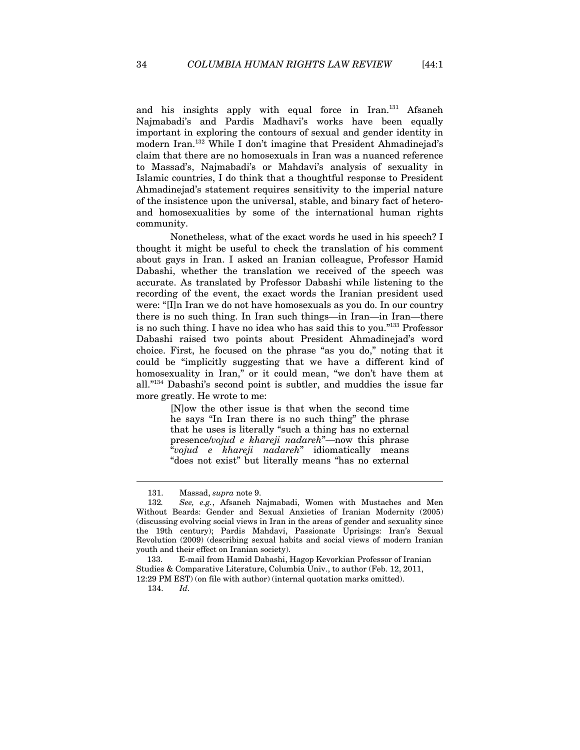and his insights apply with equal force in Iran.<sup>131</sup> Afsaneh Najmabadi's and Pardis Madhavi's works have been equally important in exploring the contours of sexual and gender identity in modern Iran.132 While I don't imagine that President Ahmadinejad's claim that there are no homosexuals in Iran was a nuanced reference to Massad's, Najmabadi's or Mahdavi's analysis of sexuality in Islamic countries, I do think that a thoughtful response to President Ahmadinejad's statement requires sensitivity to the imperial nature of the insistence upon the universal, stable, and binary fact of heteroand homosexualities by some of the international human rights community.

Nonetheless, what of the exact words he used in his speech? I thought it might be useful to check the translation of his comment about gays in Iran. I asked an Iranian colleague, Professor Hamid Dabashi, whether the translation we received of the speech was accurate. As translated by Professor Dabashi while listening to the recording of the event, the exact words the Iranian president used were: "[I]n Iran we do not have homosexuals as you do. In our country there is no such thing. In Iran such things—in Iran—in Iran—there is no such thing. I have no idea who has said this to you."133 Professor Dabashi raised two points about President Ahmadinejad's word choice. First, he focused on the phrase "as you do," noting that it could be "implicitly suggesting that we have a different kind of homosexuality in Iran," or it could mean, "we don't have them at all."134 Dabashi's second point is subtler, and muddies the issue far more greatly. He wrote to me:

> [N]ow the other issue is that when the second time he says "In Iran there is no such thing" the phrase that he uses is literally "such a thing has no external presence/*vojud e khareji nadareh*"—now this phrase "*vojud e khareji nadareh*" idiomatically means "does not exist" but literally means "has no external

<sup>131.</sup> Massad, *supra* note 9.

<sup>132</sup>*. See, e.g.*, Afsaneh Najmabadi, Women with Mustaches and Men Without Beards: Gender and Sexual Anxieties of Iranian Modernity (2005) (discussing evolving social views in Iran in the areas of gender and sexuality since the 19th century); Pardis Mahdavi, Passionate Uprisings: Iran's Sexual Revolution (2009) (describing sexual habits and social views of modern Iranian youth and their effect on Iranian society).

 <sup>133.</sup> E-mail from Hamid Dabashi, Hagop Kevorkian Professor of Iranian Studies & Comparative Literature, Columbia Univ., to author (Feb. 12, 2011, 12:29 PM EST) (on file with author) (internal quotation marks omitted).

<sup>134.</sup> *Id.*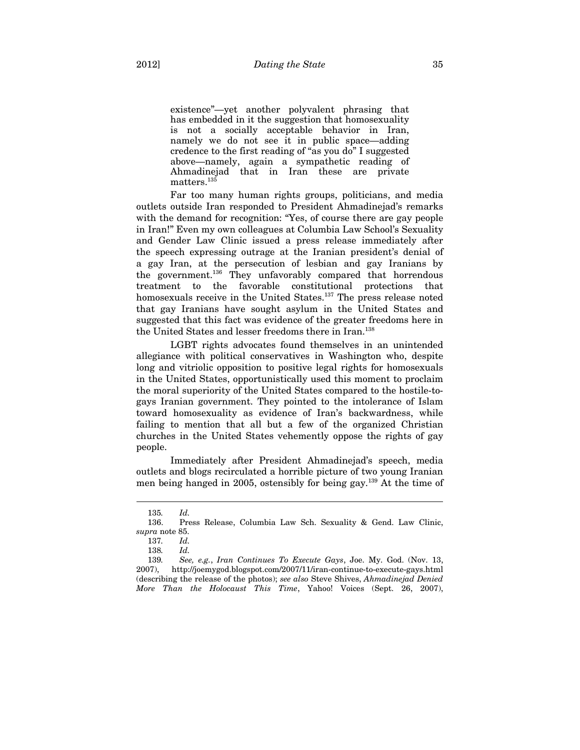existence"—yet another polyvalent phrasing that has embedded in it the suggestion that homosexuality is not a socially acceptable behavior in Iran, namely we do not see it in public space—adding credence to the first reading of "as you do" I suggested above—namely, again a sympathetic reading of Ahmadinejad that in Iran these are private matters.<sup>135</sup>

Far too many human rights groups, politicians, and media outlets outside Iran responded to President Ahmadinejad's remarks with the demand for recognition: "Yes, of course there are gay people in Iran!" Even my own colleagues at Columbia Law School's Sexuality and Gender Law Clinic issued a press release immediately after the speech expressing outrage at the Iranian president's denial of a gay Iran, at the persecution of lesbian and gay Iranians by the government.136 They unfavorably compared that horrendous treatment to the favorable constitutional protections that homosexuals receive in the United States.<sup>137</sup> The press release noted that gay Iranians have sought asylum in the United States and suggested that this fact was evidence of the greater freedoms here in the United States and lesser freedoms there in Iran.<sup>138</sup>

LGBT rights advocates found themselves in an unintended allegiance with political conservatives in Washington who, despite long and vitriolic opposition to positive legal rights for homosexuals in the United States, opportunistically used this moment to proclaim the moral superiority of the United States compared to the hostile-togays Iranian government. They pointed to the intolerance of Islam toward homosexuality as evidence of Iran's backwardness, while failing to mention that all but a few of the organized Christian churches in the United States vehemently oppose the rights of gay people.

Immediately after President Ahmadinejad's speech, media outlets and blogs recirculated a horrible picture of two young Iranian men being hanged in 2005, ostensibly for being gay.139 At the time of

<sup>135</sup>*. Id.*

<sup>136.</sup> Press Release, Columbia Law Sch. Sexuality & Gend. Law Clinic, *supra* note 85.

<sup>137</sup>*. Id.*

<sup>138</sup>*. Id.*

<sup>139</sup>*. See, e.g.*, *Iran Continues To Execute Gays*, Joe. My. God. (Nov. 13, 2007), http://joemygod.blogspot.com/2007/11/iran-continue-to-execute-gays.html (describing the release of the photos); *see also* Steve Shives, *Ahmadinejad Denied More Than the Holocaust This Time*, Yahoo! Voices (Sept. 26, 2007),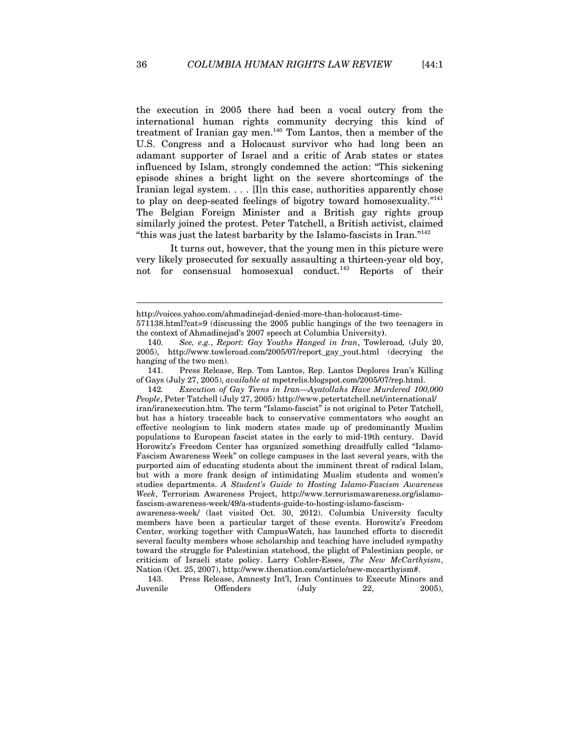the execution in 2005 there had been a vocal outcry from the international human rights community decrying this kind of treatment of Iranian gay men.<sup>140</sup> Tom Lantos, then a member of the U.S. Congress and a Holocaust survivor who had long been an adamant supporter of Israel and a critic of Arab states or states influenced by Islam, strongly condemned the action: "This sickening episode shines a bright light on the severe shortcomings of the Iranian legal system. . . . [I]n this case, authorities apparently chose to play on deep-seated feelings of bigotry toward homosexuality."<sup>141</sup> The Belgian Foreign Minister and a British gay rights group similarly joined the protest. Peter Tatchell, a British activist, claimed "this was just the latest barbarity by the Islamo-fascists in Iran."142

It turns out, however, that the young men in this picture were very likely prosecuted for sexually assaulting a thirteen-year old boy, not for consensual homosexual conduct.143 Reports of their

142*. Execution of Gay Teens in Iran—Ayatollahs Have Murdered 100,000 People*, Peter Tatchell (July 27, 2005) http://www.petertatchell.net/international/ iran/iranexecution.htm. The term "Islamo-fascist" is not original to Peter Tatchell, but has a history traceable back to conservative commentators who sought an effective neologism to link modern states made up of predominantly Muslim populations to European fascist states in the early to mid-19th century. David Horowitz's Freedom Center has organized something dreadfully called "Islamo-Fascism Awareness Week" on college campuses in the last several years, with the purported aim of educating students about the imminent threat of radical Islam, but with a more frank design of intimidating Muslim students and women's studies departments. *A Student's Guide to Hosting Islamo-Fascism Awareness Week*, Terrorism Awareness Project, http://www.terrorismawareness.org/islamofascism-awareness-week/49/a-students-guide-to-hosting-islamo-fascism-

awareness-week/ (last visited Oct. 30, 2012). Columbia University faculty members have been a particular target of these events. Horowitz's Freedom Center, working together with CampusWatch, has launched efforts to discredit several faculty members whose scholarship and teaching have included sympathy toward the struggle for Palestinian statehood, the plight of Palestinian people, or criticism of Israeli state policy. Larry Cohler-Esses, *The New McCarthyism*, Nation (Oct. 25, 2007), http://www.thenation.com/article/new-mccarthyism#.

143. Press Release, Amnesty Int'l, Iran Continues to Execute Minors and Juvenile Offenders (July 22, 2005),

http://voices.yahoo.com/ahmadinejad-denied-more-than-holocaust-time-

<sup>571138.</sup>html?cat=9 (discussing the 2005 public hangings of the two teenagers in the context of Ahmadinejad's 2007 speech at Columbia University**)**.

<sup>140</sup>*. See, e.g.*, *Report: Gay Youths Hanged in Iran*, Towleroad*,* (July 20, 2005), http://www.towleroad.com/2005/07/report\_gay\_yout.html (decrying the hanging of the two men).

<sup>141.</sup> Press Release, Rep. Tom Lantos, Rep. Lantos Deplores Iran's Killing of Gays (July 27, 2005), *available at* mpetrelis.blogspot.com/2005/07/rep.html.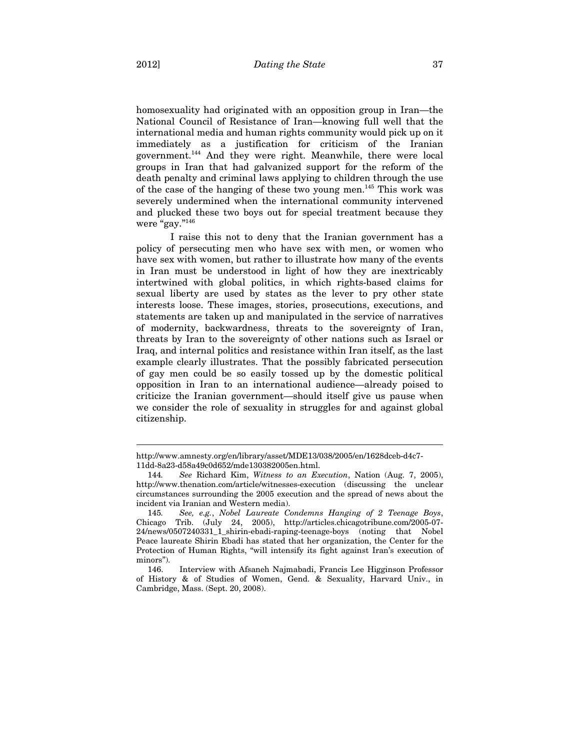homosexuality had originated with an opposition group in Iran—the National Council of Resistance of Iran—knowing full well that the international media and human rights community would pick up on it immediately as a justification for criticism of the Iranian government.144 And they were right. Meanwhile, there were local groups in Iran that had galvanized support for the reform of the death penalty and criminal laws applying to children through the use of the case of the hanging of these two young men.145 This work was severely undermined when the international community intervened and plucked these two boys out for special treatment because they were "gay."<sup>146</sup>

I raise this not to deny that the Iranian government has a policy of persecuting men who have sex with men, or women who have sex with women, but rather to illustrate how many of the events in Iran must be understood in light of how they are inextricably intertwined with global politics, in which rights-based claims for sexual liberty are used by states as the lever to pry other state interests loose. These images, stories, prosecutions, executions, and statements are taken up and manipulated in the service of narratives of modernity, backwardness, threats to the sovereignty of Iran, threats by Iran to the sovereignty of other nations such as Israel or Iraq, and internal politics and resistance within Iran itself, as the last example clearly illustrates. That the possibly fabricated persecution of gay men could be so easily tossed up by the domestic political opposition in Iran to an international audience—already poised to criticize the Iranian government—should itself give us pause when we consider the role of sexuality in struggles for and against global citizenship.

http://www.amnesty.org/en/library/asset/MDE13/038/2005/en/1628dceb-d4c7- 11dd-8a23-d58a49c0d652/mde130382005en.html.

<sup>144</sup>*. See* Richard Kim, *Witness to an Execution*, Nation (Aug. 7, 2005), http://www.thenation.com/article/witnesses-execution (discussing the unclear circumstances surrounding the 2005 execution and the spread of news about the incident via Iranian and Western media).

<sup>145</sup>*. See, e.g.*, *Nobel Laureate Condemns Hanging of 2 Teenage Boys*, Chicago Trib. (July 24, 2005), http://articles.chicagotribune.com/2005-07- 24/news/0507240331\_1\_shirin-ebadi-raping-teenage-boys (noting that Nobel Peace laureate Shirin Ebadi has stated that her organization, the Center for the Protection of Human Rights, "will intensify its fight against Iran's execution of minors").

<sup>146.</sup> Interview with Afsaneh Najmabadi, Francis Lee Higginson Professor of History & of Studies of Women, Gend. & Sexuality, Harvard Univ., in Cambridge, Mass. (Sept. 20, 2008).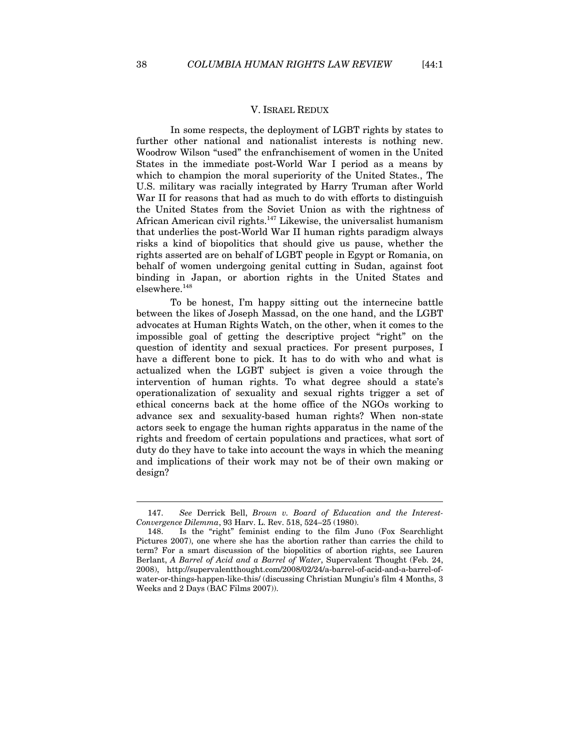#### V. ISRAEL REDUX

In some respects, the deployment of LGBT rights by states to further other national and nationalist interests is nothing new. Woodrow Wilson "used" the enfranchisement of women in the United States in the immediate post-World War I period as a means by which to champion the moral superiority of the United States., The U.S. military was racially integrated by Harry Truman after World War II for reasons that had as much to do with efforts to distinguish the United States from the Soviet Union as with the rightness of African American civil rights.147 Likewise, the universalist humanism that underlies the post-World War II human rights paradigm always risks a kind of biopolitics that should give us pause, whether the rights asserted are on behalf of LGBT people in Egypt or Romania, on behalf of women undergoing genital cutting in Sudan, against foot binding in Japan, or abortion rights in the United States and elsewhere.148

To be honest, I'm happy sitting out the internecine battle between the likes of Joseph Massad, on the one hand, and the LGBT advocates at Human Rights Watch, on the other, when it comes to the impossible goal of getting the descriptive project "right" on the question of identity and sexual practices. For present purposes, I have a different bone to pick. It has to do with who and what is actualized when the LGBT subject is given a voice through the intervention of human rights. To what degree should a state's operationalization of sexuality and sexual rights trigger a set of ethical concerns back at the home office of the NGOs working to advance sex and sexuality-based human rights? When non-state actors seek to engage the human rights apparatus in the name of the rights and freedom of certain populations and practices, what sort of duty do they have to take into account the ways in which the meaning and implications of their work may not be of their own making or design?

<sup>147.</sup> *See* Derrick Bell, *Brown v. Board of Education and the Interest-Convergence Dilemma*, 93 Harv. L. Rev. 518, 524–25 (1980).

<sup>148.</sup> Is the "right" feminist ending to the film Juno (Fox Searchlight Pictures 2007), one where she has the abortion rather than carries the child to term? For a smart discussion of the biopolitics of abortion rights, see Lauren Berlant, *A Barrel of Acid and a Barrel of Water*, Supervalent Thought (Feb. 24, 2008), http://supervalentthought.com/2008/02/24/a-barrel-of-acid-and-a-barrel-ofwater-or-things-happen-like-this/ (discussing Christian Mungiu's film 4 Months, 3 Weeks and 2 Days (BAC Films 2007)).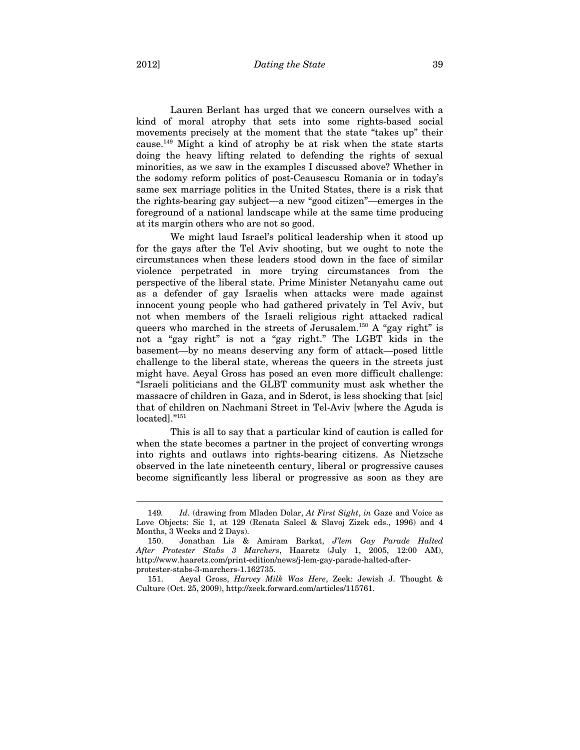Lauren Berlant has urged that we concern ourselves with a kind of moral atrophy that sets into some rights-based social movements precisely at the moment that the state "takes up" their cause.<sup>149</sup> Might a kind of atrophy be at risk when the state starts doing the heavy lifting related to defending the rights of sexual minorities, as we saw in the examples I discussed above? Whether in the sodomy reform politics of post-Ceausescu Romania or in today's same sex marriage politics in the United States, there is a risk that the rights-bearing gay subject—a new "good citizen"—emerges in the foreground of a national landscape while at the same time producing at its margin others who are not so good.

We might laud Israel's political leadership when it stood up for the gays after the Tel Aviv shooting, but we ought to note the circumstances when these leaders stood down in the face of similar violence perpetrated in more trying circumstances from the perspective of the liberal state. Prime Minister Netanyahu came out as a defender of gay Israelis when attacks were made against innocent young people who had gathered privately in Tel Aviv, but not when members of the Israeli religious right attacked radical queers who marched in the streets of Jerusalem.<sup>150</sup> A "gay right" is not a "gay right" is not a "gay right." The LGBT kids in the basement—by no means deserving any form of attack—posed little challenge to the liberal state, whereas the queers in the streets just might have. Aeyal Gross has posed an even more difficult challenge: "Israeli politicians and the GLBT community must ask whether the massacre of children in Gaza, and in Sderot, is less shocking that [sic] that of children on Nachmani Street in Tel-Aviv [where the Aguda is located]."151

This is all to say that a particular kind of caution is called for when the state becomes a partner in the project of converting wrongs into rights and outlaws into rights-bearing citizens. As Nietzsche observed in the late nineteenth century, liberal or progressive causes become significantly less liberal or progressive as soon as they are

<sup>149</sup>*. Id.* (drawing from Mladen Dolar, *At First Sight*, *in* Gaze and Voice as Love Objects: Sic 1, at 129 (Renata Salecl & Slavoj Zizek eds., 1996) and 4 Months, 3 Weeks and 2 Days).

<sup>150.</sup> Jonathan Lis & Amiram Barkat, *J'lem Gay Parade Halted After Protester Stabs 3 Marchers*, Haaretz (July 1, 2005, 12:00 AM), http://www.haaretz.com/print-edition/news/j-lem-gay-parade-halted-afterprotester-stabs-3-marchers-1.162735.

<sup>151.</sup> Aeyal Gross, *Harvey Milk Was Here*, Zeek: Jewish J. Thought & Culture (Oct. 25, 2009), http://zeek.forward.com/articles/115761.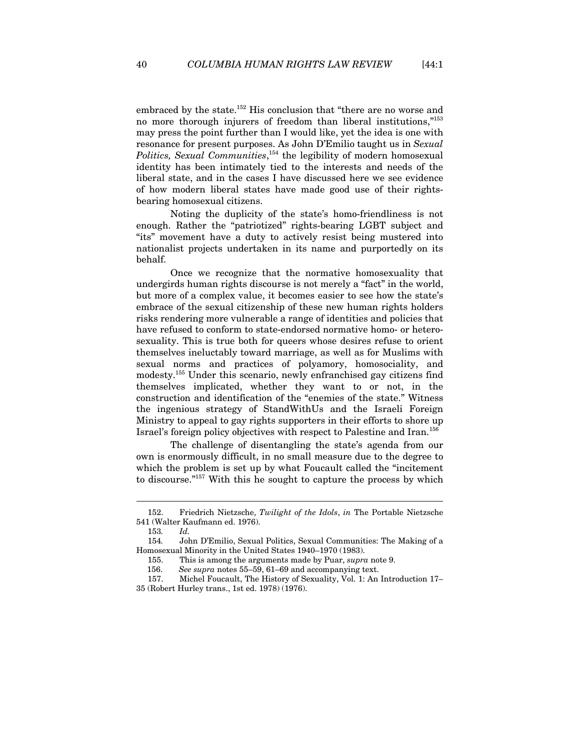embraced by the state.<sup>152</sup> His conclusion that "there are no worse and no more thorough injurers of freedom than liberal institutions,"153 may press the point further than I would like, yet the idea is one with resonance for present purposes. As John D'Emilio taught us in *Sexual Politics, Sexual Communities*, 154 the legibility of modern homosexual identity has been intimately tied to the interests and needs of the liberal state, and in the cases I have discussed here we see evidence of how modern liberal states have made good use of their rightsbearing homosexual citizens.

Noting the duplicity of the state's homo-friendliness is not enough. Rather the "patriotized" rights-bearing LGBT subject and "its" movement have a duty to actively resist being mustered into nationalist projects undertaken in its name and purportedly on its behalf.

Once we recognize that the normative homosexuality that undergirds human rights discourse is not merely a "fact" in the world, but more of a complex value, it becomes easier to see how the state's embrace of the sexual citizenship of these new human rights holders risks rendering more vulnerable a range of identities and policies that have refused to conform to state-endorsed normative homo- or heterosexuality. This is true both for queers whose desires refuse to orient themselves ineluctably toward marriage, as well as for Muslims with sexual norms and practices of polyamory, homosociality, and modesty.155 Under this scenario, newly enfranchised gay citizens find themselves implicated, whether they want to or not, in the construction and identification of the "enemies of the state." Witness the ingenious strategy of StandWithUs and the Israeli Foreign Ministry to appeal to gay rights supporters in their efforts to shore up Israel's foreign policy objectives with respect to Palestine and Iran.156

The challenge of disentangling the state's agenda from our own is enormously difficult, in no small measure due to the degree to which the problem is set up by what Foucault called the "incitement to discourse."157 With this he sought to capture the process by which

<sup>152.</sup> Friedrich Nietzsche, *Twilight of the Idols*, *in* The Portable Nietzsche 541 (Walter Kaufmann ed. 1976).

<sup>153</sup>*. Id.*

<sup>154</sup>*.* John D'Emilio, Sexual Politics, Sexual Communities: The Making of a Homosexual Minority in the United States 1940–1970 (1983).

<sup>155.</sup> This is among the arguments made by Puar, *supra* note 9.

 <sup>156.</sup> *See supra* notes 55–59, 61–69 and accompanying text.

<sup>157.</sup> Michel Foucault, The History of Sexuality, Vol. 1: An Introduction 17– 35 (Robert Hurley trans., 1st ed. 1978) (1976).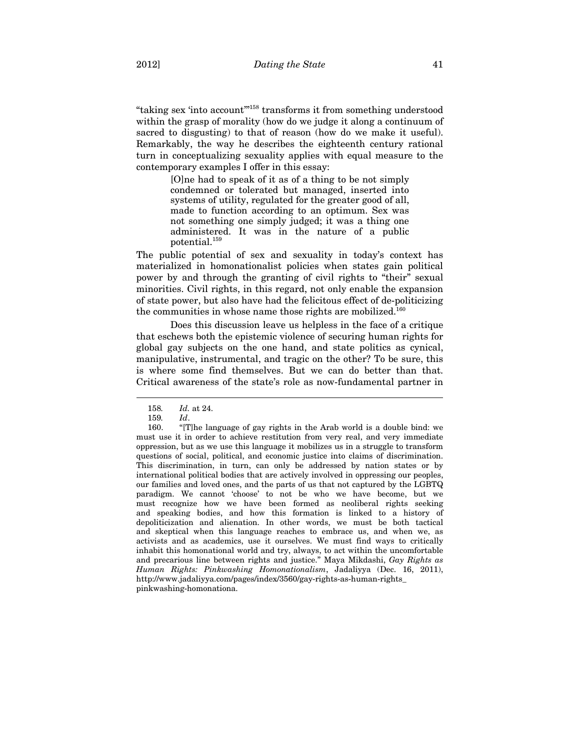"taking sex 'into account'"158 transforms it from something understood within the grasp of morality (how do we judge it along a continuum of sacred to disgusting) to that of reason (how do we make it useful). Remarkably, the way he describes the eighteenth century rational turn in conceptualizing sexuality applies with equal measure to the contemporary examples I offer in this essay:

> [O]ne had to speak of it as of a thing to be not simply condemned or tolerated but managed, inserted into systems of utility, regulated for the greater good of all, made to function according to an optimum. Sex was not something one simply judged; it was a thing one administered. It was in the nature of a public potential.159

The public potential of sex and sexuality in today's context has materialized in homonationalist policies when states gain political power by and through the granting of civil rights to "their" sexual minorities. Civil rights, in this regard, not only enable the expansion of state power, but also have had the felicitous effect of de-politicizing the communities in whose name those rights are mobilized.<sup>160</sup>

Does this discussion leave us helpless in the face of a critique that eschews both the epistemic violence of securing human rights for global gay subjects on the one hand, and state politics as cynical, manipulative, instrumental, and tragic on the other? To be sure, this is where some find themselves. But we can do better than that. Critical awareness of the state's role as now-fundamental partner in

<sup>158</sup>*. Id.* at 24.

<sup>159</sup>*. Id*.

<sup>160. &</sup>quot;[T]he language of gay rights in the Arab world is a double bind: we must use it in order to achieve restitution from very real, and very immediate oppression, but as we use this language it mobilizes us in a struggle to transform questions of social, political, and economic justice into claims of discrimination. This discrimination, in turn, can only be addressed by nation states or by international political bodies that are actively involved in oppressing our peoples, our families and loved ones, and the parts of us that not captured by the LGBTQ paradigm. We cannot 'choose' to not be who we have become, but we must recognize how we have been formed as neoliberal rights seeking and speaking bodies, and how this formation is linked to a history of depoliticization and alienation. In other words, we must be both tactical and skeptical when this language reaches to embrace us, and when we, as activists and as academics, use it ourselves. We must find ways to critically inhabit this homonational world and try, always, to act within the uncomfortable and precarious line between rights and justice." Maya Mikdashi, *Gay Rights as Human Rights: Pinkwashing Homonationalism*, Jadaliyya (Dec. 16, 2011), http://www.jadaliyya.com/pages/index/3560/gay-rights-as-human-rights\_ pinkwashing-homonationa.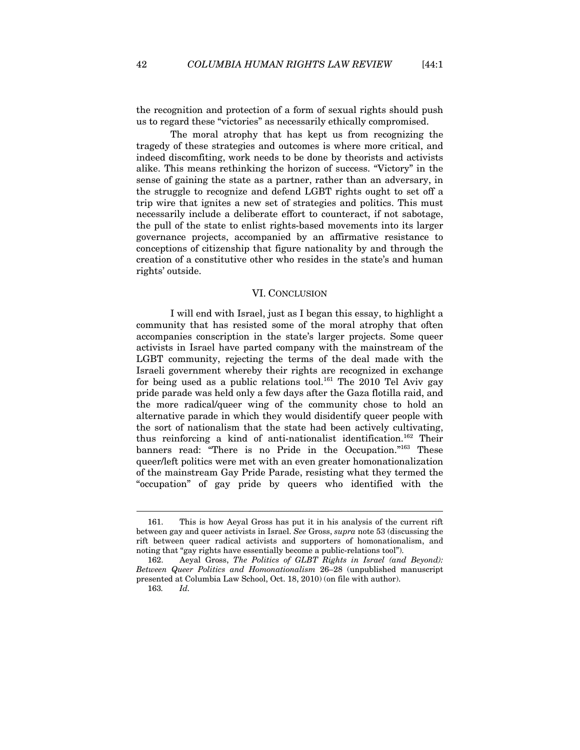the recognition and protection of a form of sexual rights should push us to regard these "victories" as necessarily ethically compromised.

The moral atrophy that has kept us from recognizing the tragedy of these strategies and outcomes is where more critical, and indeed discomfiting, work needs to be done by theorists and activists alike. This means rethinking the horizon of success. "Victory" in the sense of gaining the state as a partner, rather than an adversary, in the struggle to recognize and defend LGBT rights ought to set off a trip wire that ignites a new set of strategies and politics. This must necessarily include a deliberate effort to counteract, if not sabotage, the pull of the state to enlist rights-based movements into its larger governance projects, accompanied by an affirmative resistance to conceptions of citizenship that figure nationality by and through the creation of a constitutive other who resides in the state's and human rights' outside.

#### VI. CONCLUSION

I will end with Israel, just as I began this essay, to highlight a community that has resisted some of the moral atrophy that often accompanies conscription in the state's larger projects. Some queer activists in Israel have parted company with the mainstream of the LGBT community, rejecting the terms of the deal made with the Israeli government whereby their rights are recognized in exchange for being used as a public relations tool.<sup>161</sup> The 2010 Tel Aviv gay pride parade was held only a few days after the Gaza flotilla raid, and the more radical/queer wing of the community chose to hold an alternative parade in which they would disidentify queer people with the sort of nationalism that the state had been actively cultivating, thus reinforcing a kind of anti-nationalist identification.162 Their banners read: "There is no Pride in the Occupation."163 These queer/left politics were met with an even greater homonationalization of the mainstream Gay Pride Parade, resisting what they termed the "occupation" of gay pride by queers who identified with the

<sup>161.</sup> This is how Aeyal Gross has put it in his analysis of the current rift between gay and queer activists in Israel. *See* Gross, *supra* note 53 (discussing the rift between queer radical activists and supporters of homonationalism, and noting that "gay rights have essentially become a public-relations tool").

<sup>162.</sup> Aeyal Gross, *The Politics of GLBT Rights in Israel (and Beyond): Between Queer Politics and Homonationalism* 26–28 (unpublished manuscript presented at Columbia Law School, Oct. 18, 2010) (on file with author).

<sup>163</sup>*. Id.*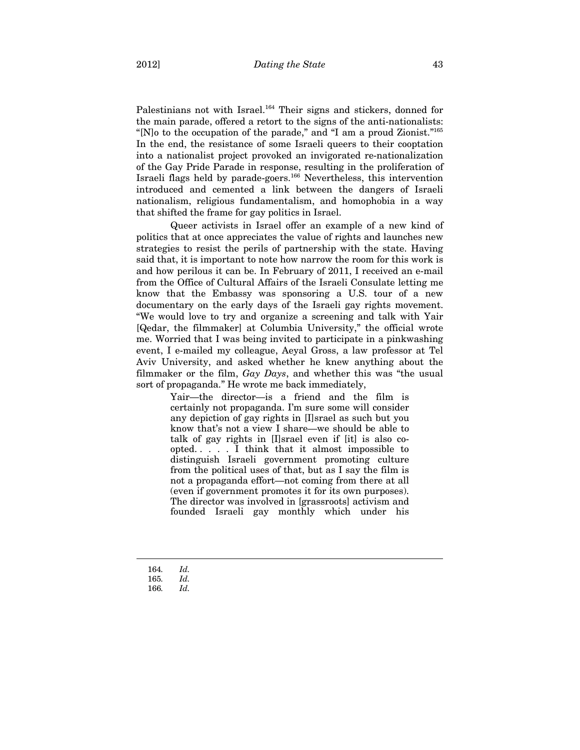Palestinians not with Israel.<sup>164</sup> Their signs and stickers, donned for the main parade, offered a retort to the signs of the anti-nationalists: "[N]o to the occupation of the parade," and "I am a proud Zionist."165 In the end, the resistance of some Israeli queers to their cooptation into a nationalist project provoked an invigorated re-nationalization of the Gay Pride Parade in response, resulting in the proliferation of Israeli flags held by parade-goers.166 Nevertheless, this intervention introduced and cemented a link between the dangers of Israeli nationalism, religious fundamentalism, and homophobia in a way that shifted the frame for gay politics in Israel.

Queer activists in Israel offer an example of a new kind of politics that at once appreciates the value of rights and launches new strategies to resist the perils of partnership with the state. Having said that, it is important to note how narrow the room for this work is and how perilous it can be. In February of 2011, I received an e-mail from the Office of Cultural Affairs of the Israeli Consulate letting me know that the Embassy was sponsoring a U.S. tour of a new documentary on the early days of the Israeli gay rights movement. "We would love to try and organize a screening and talk with Yair [Qedar, the filmmaker] at Columbia University," the official wrote me. Worried that I was being invited to participate in a pinkwashing event, I e-mailed my colleague, Aeyal Gross, a law professor at Tel Aviv University, and asked whether he knew anything about the filmmaker or the film, *Gay Days*, and whether this was "the usual sort of propaganda." He wrote me back immediately,

> Yair—the director—is a friend and the film is certainly not propaganda. I'm sure some will consider any depiction of gay rights in [I]srael as such but you know that's not a view I share—we should be able to talk of gay rights in [I]srael even if [it] is also coopted. . . . . I think that it almost impossible to distinguish Israeli government promoting culture from the political uses of that, but as I say the film is not a propaganda effort—not coming from there at all (even if government promotes it for its own purposes). The director was involved in [grassroots] activism and founded Israeli gay monthly which under his

164*. Id.*

<sup>165</sup>*. Id.*

<sup>166</sup>*. Id.*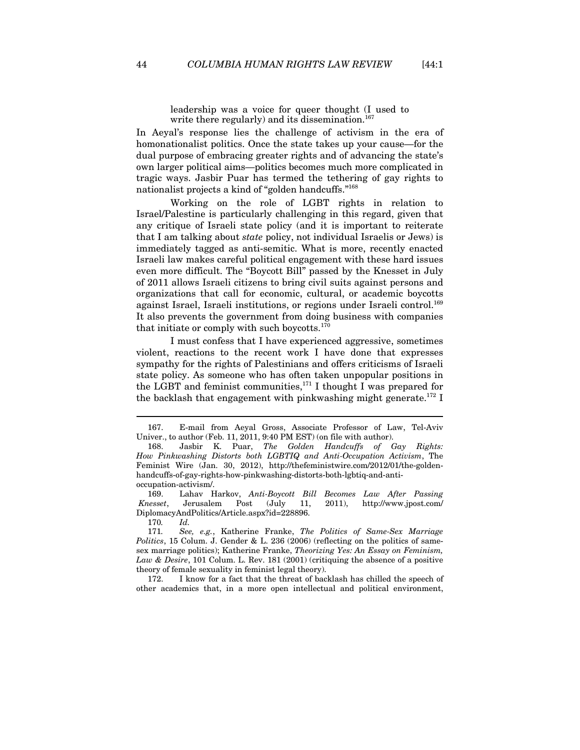leadership was a voice for queer thought (I used to write there regularly) and its dissemination.<sup>167</sup>

In Aeyal's response lies the challenge of activism in the era of homonationalist politics. Once the state takes up your cause—for the dual purpose of embracing greater rights and of advancing the state's own larger political aims—politics becomes much more complicated in tragic ways. Jasbir Puar has termed the tethering of gay rights to nationalist projects a kind of "golden handcuffs."168

Working on the role of LGBT rights in relation to Israel/Palestine is particularly challenging in this regard, given that any critique of Israeli state policy (and it is important to reiterate that I am talking about *state* policy, not individual Israelis or Jews) is immediately tagged as anti-semitic. What is more, recently enacted Israeli law makes careful political engagement with these hard issues even more difficult. The "Boycott Bill" passed by the Knesset in July of 2011 allows Israeli citizens to bring civil suits against persons and organizations that call for economic, cultural, or academic boycotts against Israel, Israeli institutions, or regions under Israeli control.169 It also prevents the government from doing business with companies that initiate or comply with such boycotts.<sup>170</sup>

I must confess that I have experienced aggressive, sometimes violent, reactions to the recent work I have done that expresses sympathy for the rights of Palestinians and offers criticisms of Israeli state policy. As someone who has often taken unpopular positions in the LGBT and feminist communities,<sup>171</sup> I thought I was prepared for the backlash that engagement with pinkwashing might generate.<sup>172</sup> I

169. Lahav Harkov, *Anti-Boycott Bill Becomes Law After Passing Knesset*, Jerusalem Post (July 11, 2011), http://www.jpost.com/ DiplomacyAndPolitics/Article.aspx?id=228896.

170*. Id.*

<sup>167.</sup> E-mail from Aeyal Gross, Associate Professor of Law, Tel-Aviv Univer., to author (Feb. 11, 2011, 9:40 PM EST) (on file with author).

<sup>168.</sup> Jasbir K. Puar, *The Golden Handcuffs of Gay Rights: How Pinkwashing Distorts both LGBTIQ and Anti-Occupation Activism*, The Feminist Wire (Jan. 30, 2012), http://thefeministwire.com/2012/01/the-goldenhandcuffs-of-gay-rights-how-pinkwashing-distorts-both-lgbtiq-and-antioccupation-activism/.

<sup>171</sup>*. See, e.g.*, Katherine Franke, *The Politics of Same-Sex Marriage Politics*, 15 Colum. J. Gender & L. 236 (2006) (reflecting on the politics of samesex marriage politics); Katherine Franke, *Theorizing Yes: An Essay on Feminism, Law & Desire*, 101 Colum. L. Rev. 181 (2001) (critiquing the absence of a positive theory of female sexuality in feminist legal theory).

<sup>172.</sup> I know for a fact that the threat of backlash has chilled the speech of other academics that, in a more open intellectual and political environment,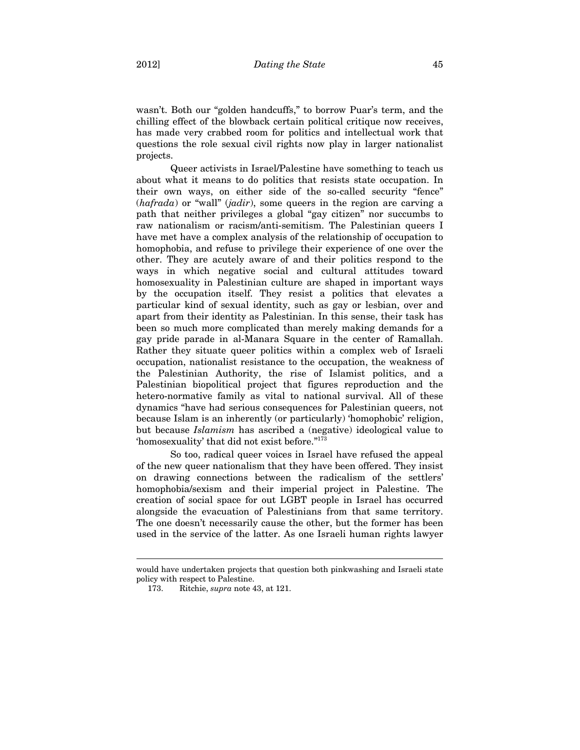wasn't. Both our "golden handcuffs," to borrow Puar's term, and the chilling effect of the blowback certain political critique now receives, has made very crabbed room for politics and intellectual work that questions the role sexual civil rights now play in larger nationalist projects.

Queer activists in Israel/Palestine have something to teach us about what it means to do politics that resists state occupation. In their own ways, on either side of the so-called security "fence" (*hafrada*) or "wall" (*jadir*), some queers in the region are carving a path that neither privileges a global "gay citizen" nor succumbs to raw nationalism or racism/anti-semitism. The Palestinian queers I have met have a complex analysis of the relationship of occupation to homophobia, and refuse to privilege their experience of one over the other. They are acutely aware of and their politics respond to the ways in which negative social and cultural attitudes toward homosexuality in Palestinian culture are shaped in important ways by the occupation itself. They resist a politics that elevates a particular kind of sexual identity, such as gay or lesbian, over and apart from their identity as Palestinian. In this sense, their task has been so much more complicated than merely making demands for a gay pride parade in al-Manara Square in the center of Ramallah. Rather they situate queer politics within a complex web of Israeli occupation, nationalist resistance to the occupation, the weakness of the Palestinian Authority, the rise of Islamist politics, and a Palestinian biopolitical project that figures reproduction and the hetero-normative family as vital to national survival. All of these dynamics "have had serious consequences for Palestinian queers, not because Islam is an inherently (or particularly) 'homophobic' religion, but because *Islamism* has ascribed a (negative) ideological value to 'homosexuality' that did not exist before."173

So too, radical queer voices in Israel have refused the appeal of the new queer nationalism that they have been offered. They insist on drawing connections between the radicalism of the settlers' homophobia/sexism and their imperial project in Palestine. The creation of social space for out LGBT people in Israel has occurred alongside the evacuation of Palestinians from that same territory. The one doesn't necessarily cause the other, but the former has been used in the service of the latter. As one Israeli human rights lawyer

would have undertaken projects that question both pinkwashing and Israeli state policy with respect to Palestine.

<sup>173.</sup> Ritchie, *supra* note 43, at 121.